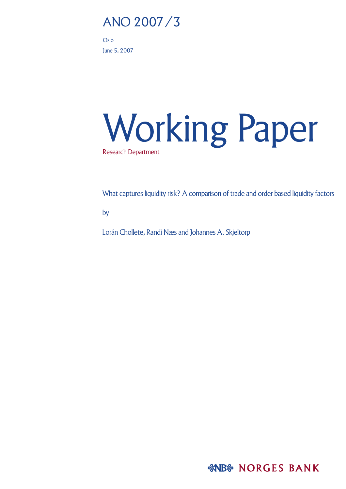# ANO 2007/3

Oslo June 5, 2007

# Working Paper Research Department

What captures liquidity risk? A comparison of trade and order based liquidity factors

by

Lorán Chollete, Randi Næs and Johannes A. Skjeltorp

*&NB& NORGES BANK*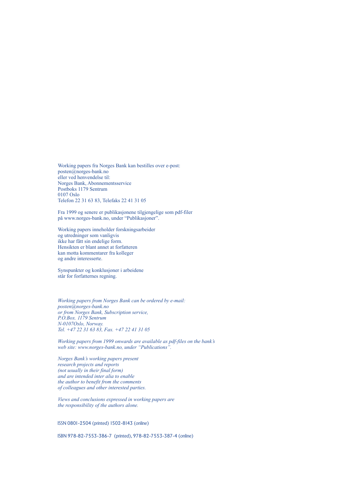Working papers fra Norges Bank kan bestilles over e-post: posten@norges-bank.no eller ved henvendelse til: Norges Bank, Abonnementsservice Postboks 1179 Sentrum 0107 Oslo Telefon 22 31 63 83, Telefaks 22 41 31 05

Fra 1999 og senere er publikasjonene tilgjengelige som pdf-filer på www.norges-bank.no, under "Publikasjoner".

Working papers inneholder forskningsarbeider og utredninger som vanligvis ikke har fått sin endelige form. Hensikten er blant annet at forfatteren kan motta kommentarer fra kolleger og andre interesserte.

Synspunkter og konklusjoner i arbeidene står for forfatternes regning.

*Working papers from Norges Bank can be ordered by e-mail: posten@norges-bank.no or from Norges Bank, Subscription service, P.O.Box. 1179 Sentrum N-0107Oslo, Norway. Tel. +47 22 31 63 83, Fax. +47 22 41 31 05*

*Working papers from 1999 onwards are available as pdf-files on the bank's web site: www.norges-bank.no, under "Publications".*

*Norges Bank's working papers present research projects and reports (not usually in their final form) and are intended inter alia to enable the author to benefit from the comments of colleagues and other interested parties.*

*Views and conclusions expressed in working papers are the responsibility of the authors alone.*

ISSN 0801-2504 (printed) 1502-8143 (online)

ISBN 978-82-7553-386-7 (printed), 978-82-7553-387-4 (online)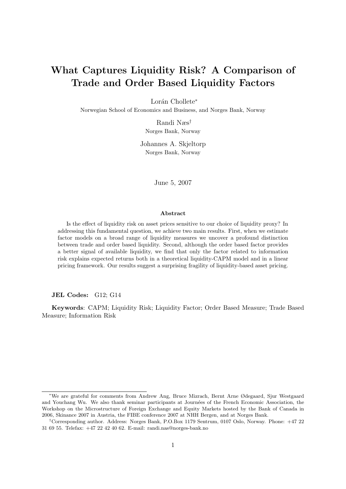# What Captures Liquidity Risk? A Comparison of Trade and Order Based Liquidity Factors

Lorán Chollete<sup>\*</sup>

Norwegian School of Economics and Business, and Norges Bank, Norway

Randi Næs† Norges Bank, Norway

Johannes A. Skjeltorp Norges Bank, Norway

June 5, 2007

#### Abstract

Is the effect of liquidity risk on asset prices sensitive to our choice of liquidity proxy? In addressing this fundamental question, we achieve two main results. First, when we estimate factor models on a broad range of liquidity measures we uncover a profound distinction between trade and order based liquidity. Second, although the order based factor provides a better signal of available liquidity, we find that only the factor related to information risk explains expected returns both in a theoretical liquidity-CAPM model and in a linear pricing framework. Our results suggest a surprising fragility of liquidity-based asset pricing.

JEL Codes: G12; G14

Keywords: CAPM; Liquidity Risk; Liquidity Factor; Order Based Measure; Trade Based Measure; Information Risk

<sup>∗</sup>We are grateful for comments from Andrew Ang, Bruce Mizrach, Bernt Arne Ødegaard, Sjur Westgaard and Youchang Wu. We also thank seminar participants at Journées of the French Economic Association, the Workshop on the Microstructure of Foreign Exchange and Equity Markets hosted by the Bank of Canada in 2006, Skinance 2007 in Austria, the FIBE conference 2007 at NHH Bergen, and at Norges Bank.

<sup>†</sup>Corresponding author. Address: Norges Bank, P.O.Box 1179 Sentrum, 0107 Oslo, Norway. Phone: +47 22 31 69 55. Telefax: +47 22 42 40 62. E-mail: randi.nas@norges-bank.no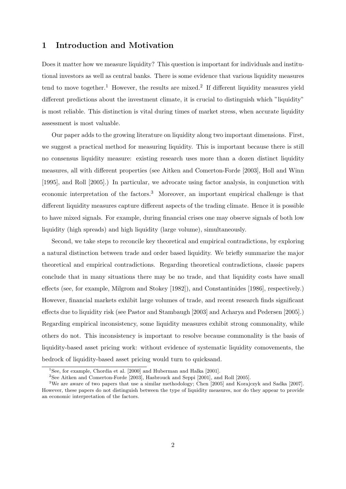# 1 Introduction and Motivation

Does it matter how we measure liquidity? This question is important for individuals and institutional investors as well as central banks. There is some evidence that various liquidity measures tend to move together.<sup>1</sup> However, the results are mixed.<sup>2</sup> If different liquidity measures yield different predictions about the investment climate, it is crucial to distinguish which "liquidity" is most reliable. This distinction is vital during times of market stress, when accurate liquidity assessment is most valuable.

Our paper adds to the growing literature on liquidity along two important dimensions. First, we suggest a practical method for measuring liquidity. This is important because there is still no consensus liquidity measure: existing research uses more than a dozen distinct liquidity measures, all with different properties (see Aitken and Comerton-Forde [2003], Holl and Winn [1995], and Roll [2005].) In particular, we advocate using factor analysis, in conjunction with economic interpretation of the factors.<sup>3</sup> Moreover, an important empirical challenge is that different liquidity measures capture different aspects of the trading climate. Hence it is possible to have mixed signals. For example, during financial crises one may observe signals of both low liquidity (high spreads) and high liquidity (large volume), simultaneously.

Second, we take steps to reconcile key theoretical and empirical contradictions, by exploring a natural distinction between trade and order based liquidity. We briefly summarize the major theoretical and empirical contradictions. Regarding theoretical contradictions, classic papers conclude that in many situations there may be no trade, and that liquidity costs have small effects (see, for example, Milgrom and Stokey [1982]), and Constantinides [1986], respectively.) However, financial markets exhibit large volumes of trade, and recent research finds significant effects due to liquidity risk (see Pastor and Stambaugh [2003] and Acharya and Pedersen [2005].) Regarding empirical inconsistency, some liquidity measures exhibit strong commonality, while others do not. This inconsistency is important to resolve because commonality is the basis of liquidity-based asset pricing work: without evidence of systematic liquidity comovements, the bedrock of liquidity-based asset pricing would turn to quicksand.

<sup>&</sup>lt;sup>1</sup>See, for example, Chordia et al. [2000] and Huberman and Halka [2001].

<sup>&</sup>lt;sup>2</sup>See Aitken and Comerton-Forde [2003], Hasbrouck and Seppi [2001], and Roll [2005].

<sup>3</sup>We are aware of two papers that use a similar methodology; Chen [2005] and Korajczyk and Sadka [2007]. However, these papers do not distinguish between the type of liquidity measures, nor do they appear to provide an economic interpretation of the factors.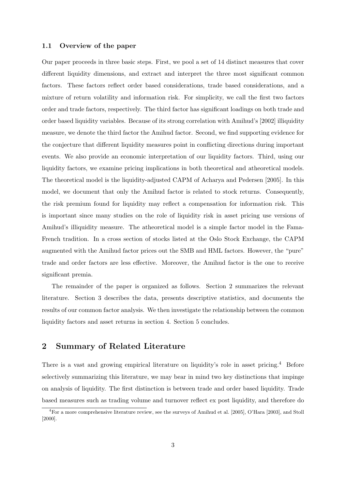#### 1.1 Overview of the paper

Our paper proceeds in three basic steps. First, we pool a set of 14 distinct measures that cover different liquidity dimensions, and extract and interpret the three most significant common factors. These factors reflect order based considerations, trade based considerations, and a mixture of return volatility and information risk. For simplicity, we call the first two factors order and trade factors, respectively. The third factor has significant loadings on both trade and order based liquidity variables. Because of its strong correlation with Amihud's [2002] illiquidity measure, we denote the third factor the Amihud factor. Second, we find supporting evidence for the conjecture that different liquidity measures point in conflicting directions during important events. We also provide an economic interpretation of our liquidity factors. Third, using our liquidity factors, we examine pricing implications in both theoretical and atheoretical models. The theoretical model is the liquidity-adjusted CAPM of Acharya and Pedersen [2005]. In this model, we document that only the Amihud factor is related to stock returns. Consequently, the risk premium found for liquidity may reflect a compensation for information risk. This is important since many studies on the role of liquidity risk in asset pricing use versions of Amihud's illiquidity measure. The atheoretical model is a simple factor model in the Fama-French tradition. In a cross section of stocks listed at the Oslo Stock Exchange, the CAPM augmented with the Amihud factor prices out the SMB and HML factors. However, the "pure" trade and order factors are less effective. Moreover, the Amihud factor is the one to receive significant premia.

The remainder of the paper is organized as follows. Section 2 summarizes the relevant literature. Section 3 describes the data, presents descriptive statistics, and documents the results of our common factor analysis. We then investigate the relationship between the common liquidity factors and asset returns in section 4. Section 5 concludes.

# 2 Summary of Related Literature

There is a vast and growing empirical literature on liquidity's role in asset pricing.<sup>4</sup> Before selectively summarizing this literature, we may bear in mind two key distinctions that impinge on analysis of liquidity. The first distinction is between trade and order based liquidity. Trade based measures such as trading volume and turnover reflect ex post liquidity, and therefore do

<sup>4</sup>For a more comprehensive literature review, see the surveys of Amihud et al. [2005], O'Hara [2003], and Stoll [2000].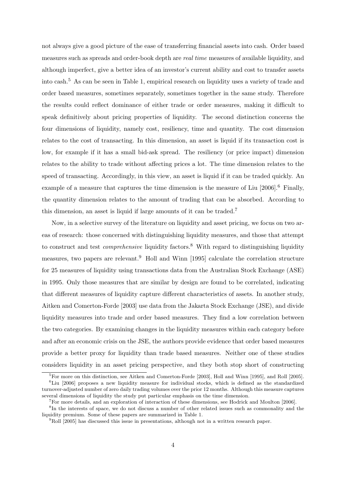not always give a good picture of the ease of transferring financial assets into cash. Order based measures such as spreads and order-book depth are *real time* measures of available liquidity, and although imperfect, give a better idea of an investor's current ability and cost to transfer assets into cash.<sup>5</sup> As can be seen in Table 1, empirical research on liquidity uses a variety of trade and order based measures, sometimes separately, sometimes together in the same study. Therefore the results could reflect dominance of either trade or order measures, making it difficult to speak definitively about pricing properties of liquidity. The second distinction concerns the four dimensions of liquidity, namely cost, resiliency, time and quantity. The cost dimension relates to the cost of transacting. In this dimension, an asset is liquid if its transaction cost is low, for example if it has a small bid-ask spread. The resiliency (or price impact) dimension relates to the ability to trade without affecting prices a lot. The time dimension relates to the speed of transacting. Accordingly, in this view, an asset is liquid if it can be traded quickly. An example of a measure that captures the time dimension is the measure of Liu [2006].<sup>6</sup> Finally, the quantity dimension relates to the amount of trading that can be absorbed. According to this dimension, an asset is liquid if large amounts of it can be traded.<sup>7</sup>

Now, in a selective survey of the literature on liquidity and asset pricing, we focus on two areas of research: those concerned with distinguishing liquidity measures, and those that attempt to construct and test *comprehensive* liquidity factors.<sup>8</sup> With regard to distinguishing liquidity measures, two papers are relevant.<sup>9</sup> Holl and Winn [1995] calculate the correlation structure for 25 measures of liquidity using transactions data from the Australian Stock Exchange (ASE) in 1995. Only those measures that are similar by design are found to be correlated, indicating that different measures of liquidity capture different characteristics of assets. In another study, Aitken and Comerton-Forde [2003] use data from the Jakarta Stock Exchange (JSE), and divide liquidity measures into trade and order based measures. They find a low correlation between the two categories. By examining changes in the liquidity measures within each category before and after an economic crisis on the JSE, the authors provide evidence that order based measures provide a better proxy for liquidity than trade based measures. Neither one of these studies considers liquidity in an asset pricing perspective, and they both stop short of constructing

 ${}^{5}$ For more on this distinction, see Aitken and Comerton-Forde [2003], Holl and Winn [1995], and Roll [2005].

 $6$ Liu [2006] proposes a new liquidity measure for individual stocks, which is defined as the standardized turnover-adjusted number of zero daily trading volumes over the prior 12 months. Although this measure captures several dimensions of liquidity the study put particular emphasis on the time dimension.

 $^7$ For more details, and an exploration of interaction of these dimensions, see Hodrick and Moulton [2006].

<sup>8</sup> In the interests of space, we do not discuss a number of other related issues such as commonality and the liquidity premium. Some of these papers are summarized in Table 1.

 $^{9}$ Roll [2005] has discussed this issue in presentations, although not in a written research paper.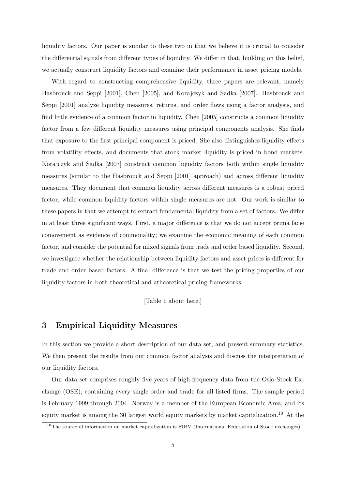liquidity factors. Our paper is similar to these two in that we believe it is crucial to consider the differential signals from different types of liquidity. We differ in that, building on this belief, we actually construct liquidity factors and examine their performance in asset pricing models.

With regard to constructing comprehensive liquidity, three papers are relevant, namely Hasbrouck and Seppi [2001], Chen [2005], and Korajczyk and Sadka [2007]. Hasbrouck and Seppi [2001] analyze liquidity measures, returns, and order flows using a factor analysis, and find little evidence of a common factor in liquidity. Chen [2005] constructs a common liquidity factor from a few different liquidity measures using principal components analysis. She finds that exposure to the first principal component is priced. She also distinguishes liquidity effects from volatility effects, and documents that stock market liquidity is priced in bond markets. Korajczyk and Sadka [2007] construct common liquidity factors both within single liquidity measures (similar to the Hasbrouck and Seppi [2001] approach) and across different liquidity measures. They document that common liquidity across different measures is a robust priced factor, while common liquidity factors within single measures are not. Our work is similar to these papers in that we attempt to extract fundamental liquidity from a set of factors. We differ in at least three significant ways. First, a major difference is that we do not accept prima facie comovement as evidence of commonality; we examine the economic meaning of each common factor, and consider the potential for mixed signals from trade and order based liquidity. Second, we investigate whether the relationship between liquidity factors and asset prices is different for trade and order based factors. A final difference is that we test the pricing properties of our liquidity factors in both theoretical and atheoretical pricing frameworks.

[Table 1 about here.]

# 3 Empirical Liquidity Measures

In this section we provide a short description of our data set, and present summary statistics. We then present the results from our common factor analysis and discuss the interpretation of our liquidity factors.

Our data set comprises roughly five years of high-frequency data from the Oslo Stock Exchange (OSE), containing every single order and trade for all listed firms. The sample period is February 1999 through 2004. Norway is a member of the European Economic Area, and its equity market is among the 30 largest world equity markets by market capitalization.<sup>10</sup> At the

 $10$ The source of information on market capitalization is FIBV (International Federation of Stock exchanges).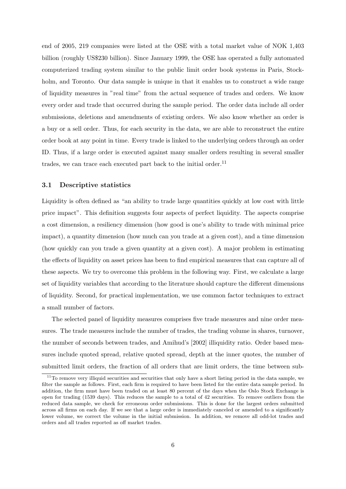end of 2005, 219 companies were listed at the OSE with a total market value of NOK 1,403 billion (roughly US\$230 billion). Since January 1999, the OSE has operated a fully automated computerized trading system similar to the public limit order book systems in Paris, Stockholm, and Toronto. Our data sample is unique in that it enables us to construct a wide range of liquidity measures in "real time" from the actual sequence of trades and orders. We know every order and trade that occurred during the sample period. The order data include all order submissions, deletions and amendments of existing orders. We also know whether an order is a buy or a sell order. Thus, for each security in the data, we are able to reconstruct the entire order book at any point in time. Every trade is linked to the underlying orders through an order ID. Thus, if a large order is executed against many smaller orders resulting in several smaller trades, we can trace each executed part back to the initial order.<sup>11</sup>

#### 3.1 Descriptive statistics

Liquidity is often defined as "an ability to trade large quantities quickly at low cost with little price impact". This definition suggests four aspects of perfect liquidity. The aspects comprise a cost dimension, a resiliency dimension (how good is one's ability to trade with minimal price impact), a quantity dimension (how much can you trade at a given cost), and a time dimension (how quickly can you trade a given quantity at a given cost). A major problem in estimating the effects of liquidity on asset prices has been to find empirical measures that can capture all of these aspects. We try to overcome this problem in the following way. First, we calculate a large set of liquidity variables that according to the literature should capture the different dimensions of liquidity. Second, for practical implementation, we use common factor techniques to extract a small number of factors.

The selected panel of liquidity measures comprises five trade measures and nine order measures. The trade measures include the number of trades, the trading volume in shares, turnover, the number of seconds between trades, and Amihud's [2002] illiquidity ratio. Order based measures include quoted spread, relative quoted spread, depth at the inner quotes, the number of submitted limit orders, the fraction of all orders that are limit orders, the time between sub-

 $11$ To remove very illiquid securities and securities that only have a short listing period in the data sample, we filter the sample as follows. First, each firm is required to have been listed for the entire data sample period. In addition, the firm must have been traded on at least 80 percent of the days when the Oslo Stock Exchange is open for trading (1539 days). This reduces the sample to a total of 42 securities. To remove outliers from the reduced data sample, we check for erroneous order submissions. This is done for the largest orders submitted across all firms on each day. If we see that a large order is immediately canceled or amended to a significantly lower volume, we correct the volume in the initial submission. In addition, we remove all odd-lot trades and orders and all trades reported as off market trades.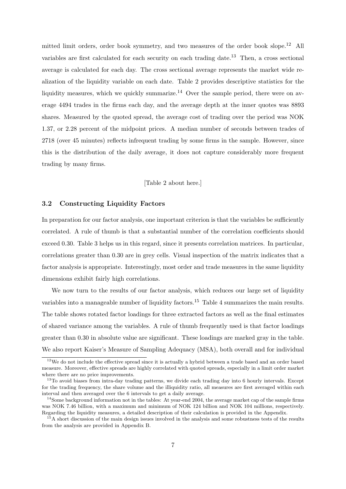mitted limit orders, order book symmetry, and two measures of the order book slope.<sup>12</sup> All variables are first calculated for each security on each trading date.<sup>13</sup> Then, a cross sectional average is calculated for each day. The cross sectional average represents the market wide realization of the liquidity variable on each date. Table 2 provides descriptive statistics for the liquidity measures, which we quickly summarize.<sup>14</sup> Over the sample period, there were on average 4494 trades in the firms each day, and the average depth at the inner quotes was 8893 shares. Measured by the quoted spread, the average cost of trading over the period was NOK 1.37, or 2.28 percent of the midpoint prices. A median number of seconds between trades of 2718 (over 45 minutes) reflects infrequent trading by some firms in the sample. However, since this is the distribution of the daily average, it does not capture considerably more frequent trading by many firms.

#### [Table 2 about here.]

#### 3.2 Constructing Liquidity Factors

In preparation for our factor analysis, one important criterion is that the variables be sufficiently correlated. A rule of thumb is that a substantial number of the correlation coefficients should exceed 0.30. Table 3 helps us in this regard, since it presents correlation matrices. In particular, correlations greater than 0.30 are in grey cells. Visual inspection of the matrix indicates that a factor analysis is appropriate. Interestingly, most order and trade measures in the same liquidity dimensions exhibit fairly high correlations.

We now turn to the results of our factor analysis, which reduces our large set of liquidity variables into a manageable number of liquidity factors.<sup>15</sup> Table 4 summarizes the main results. The table shows rotated factor loadings for three extracted factors as well as the final estimates of shared variance among the variables. A rule of thumb frequently used is that factor loadings greater than 0.30 in absolute value are significant. These loadings are marked gray in the table. We also report Kaiser's Measure of Sampling Adequacy (MSA), both overall and for individual

<sup>&</sup>lt;sup>12</sup>We do not include the effective spread since it is actually a hybrid between a trade based and an order based measure. Moreover, effective spreads are highly correlated with quoted spreads, especially in a limit order market where there are no price improvements.

<sup>&</sup>lt;sup>13</sup>To avoid biases from intra-day trading patterns, we divide each trading day into 6 hourly intervals. Except for the trading frequency, the share volume and the illiquidity ratio, all measures are first averaged within each interval and then averaged over the 6 intervals to get a daily average.

 $14$ Some background information not in the tables: At year-end 2004, the average market cap of the sample firms was NOK 7.46 billion, with a maximum and minimum of NOK 124 billion and NOK 104 millions, respectively. Regarding the liquidity measures, a detailed description of their calculation is provided in the Appendix.

<sup>&</sup>lt;sup>15</sup>A short discussion of the main design issues involved in the analysis and some robustness tests of the results from the analysis are provided in Appendix B.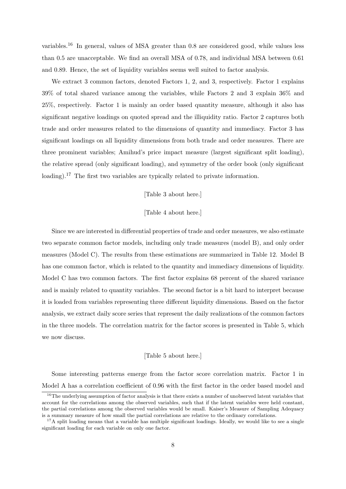variables.<sup>16</sup> In general, values of MSA greater than 0.8 are considered good, while values less than 0.5 are unacceptable. We find an overall MSA of 0.78, and individual MSA between 0.61 and 0.89. Hence, the set of liquidity variables seems well suited to factor analysis.

We extract 3 common factors, denoted Factors 1, 2, and 3, respectively. Factor 1 explains 39% of total shared variance among the variables, while Factors 2 and 3 explain 36% and 25%, respectively. Factor 1 is mainly an order based quantity measure, although it also has significant negative loadings on quoted spread and the illiquidity ratio. Factor 2 captures both trade and order measures related to the dimensions of quantity and immediacy. Factor 3 has significant loadings on all liquidity dimensions from both trade and order measures. There are three prominent variables; Amihud's price impact measure (largest significant split loading), the relative spread (only significant loading), and symmetry of the order book (only significant loading).<sup>17</sup> The first two variables are typically related to private information.

#### [Table 3 about here.]

#### [Table 4 about here.]

Since we are interested in differential properties of trade and order measures, we also estimate two separate common factor models, including only trade measures (model B), and only order measures (Model C). The results from these estimations are summarized in Table 12. Model B has one common factor, which is related to the quantity and immediacy dimensions of liquidity. Model C has two common factors. The first factor explains 68 percent of the shared variance and is mainly related to quantity variables. The second factor is a bit hard to interpret because it is loaded from variables representing three different liquidity dimensions. Based on the factor analysis, we extract daily score series that represent the daily realizations of the common factors in the three models. The correlation matrix for the factor scores is presented in Table 5, which we now discuss.

#### [Table 5 about here.]

Some interesting patterns emerge from the factor score correlation matrix. Factor 1 in Model A has a correlation coefficient of 0.96 with the first factor in the order based model and

<sup>&</sup>lt;sup>16</sup>The underlying assumption of factor analysis is that there exists a number of unobserved latent variables that account for the correlations among the observed variables, such that if the latent variables were held constant, the partial correlations among the observed variables would be small. Kaiser's Measure of Sampling Adequacy is a summary measure of how small the partial correlations are relative to the ordinary correlations.

 $17A$  split loading means that a variable has multiple significant loadings. Ideally, we would like to see a single significant loading for each variable on only one factor.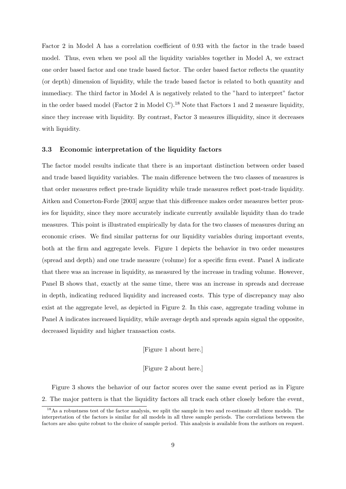Factor 2 in Model A has a correlation coefficient of 0.93 with the factor in the trade based model. Thus, even when we pool all the liquidity variables together in Model A, we extract one order based factor and one trade based factor. The order based factor reflects the quantity (or depth) dimension of liquidity, while the trade based factor is related to both quantity and immediacy. The third factor in Model A is negatively related to the "hard to interpret" factor in the order based model (Factor 2 in Model C).<sup>18</sup> Note that Factors 1 and 2 measure liquidity, since they increase with liquidity. By contrast, Factor 3 measures illiquidity, since it decreases with liquidity.

#### 3.3 Economic interpretation of the liquidity factors

The factor model results indicate that there is an important distinction between order based and trade based liquidity variables. The main difference between the two classes of measures is that order measures reflect pre-trade liquidity while trade measures reflect post-trade liquidity. Aitken and Comerton-Forde [2003] argue that this difference makes order measures better proxies for liquidity, since they more accurately indicate currently available liquidity than do trade measures. This point is illustrated empirically by data for the two classes of measures during an economic crises. We find similar patterns for our liquidity variables during important events, both at the firm and aggregate levels. Figure 1 depicts the behavior in two order measures (spread and depth) and one trade measure (volume) for a specific firm event. Panel A indicate that there was an increase in liquidity, as measured by the increase in trading volume. However, Panel B shows that, exactly at the same time, there was an increase in spreads and decrease in depth, indicating reduced liquidity and increased costs. This type of discrepancy may also exist at the aggregate level, as depicted in Figure 2. In this case, aggregate trading volume in Panel A indicates increased liquidity, while average depth and spreads again signal the opposite, decreased liquidity and higher transaction costs.

#### [Figure 1 about here.]

#### [Figure 2 about here.]

Figure 3 shows the behavior of our factor scores over the same event period as in Figure 2. The major pattern is that the liquidity factors all track each other closely before the event,

<sup>&</sup>lt;sup>18</sup>As a robustness test of the factor analysis, we split the sample in two and re-estimate all three models. The interpretation of the factors is similar for all models in all three sample periods. The correlations between the factors are also quite robust to the choice of sample period. This analysis is available from the authors on request.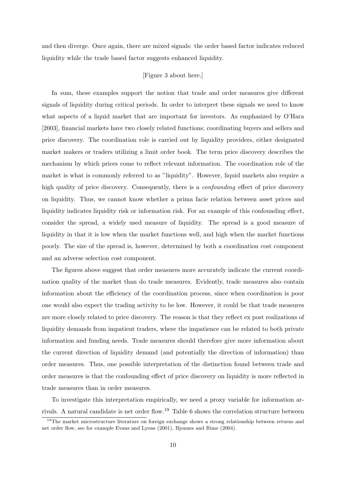and then diverge. Once again, there are mixed signals: the order based factor indicates reduced liquidity while the trade based factor suggests enhanced liquidity.

#### [Figure 3 about here.]

In sum, these examples support the notion that trade and order measures give different signals of liquidity during critical periods. In order to interpret these signals we need to know what aspects of a liquid market that are important for investors. As emphasized by O'Hara [2003], financial markets have two closely related functions; coordinating buyers and sellers and price discovery. The coordination role is carried out by liquidity providers, either designated market makers or traders utilizing a limit order book. The term price discovery describes the mechanism by which prices come to reflect relevant information. The coordination role of the market is what is commonly referred to as "liquidity". However, liquid markets also require a high quality of price discovery. Consequently, there is a *confounding* effect of price discovery on liquidity. Thus, we cannot know whether a prima facie relation between asset prices and liquidity indicates liquidity risk or information risk. For an example of this confounding effect, consider the spread, a widely used measure of liquidity. The spread is a good measure of liquidity in that it is low when the market functions well, and high when the market functions poorly. The size of the spread is, however, determined by both a coordination cost component and an adverse selection cost component.

The figures above suggest that order measures more accurately indicate the current coordination quality of the market than do trade measures. Evidently, trade measures also contain information about the efficiency of the coordination process, since when coordination is poor one would also expect the trading activity to be low. However, it could be that trade measures are more closely related to price discovery. The reason is that they reflect ex post realizations of liquidity demands from impatient traders, where the impatience can be related to both private information and funding needs. Trade measures should therefore give more information about the current direction of liquidity demand (and potentially the direction of information) than order measures. Thus, one possible interpretation of the distinction found between trade and order measures is that the confounding effect of price discovery on liquidity is more reflected in trade measures than in order measures.

To investigate this interpretation empirically, we need a proxy variable for information arrivals. A natural candidate is net order flow.<sup>19</sup> Table 6 shows the correlation structure between

<sup>&</sup>lt;sup>19</sup>The market microstructure literature on foreign exchange shows a strong relationship between returns and net order flow, see for example Evans and Lyons (2001), Bjonnes and Rime (2004).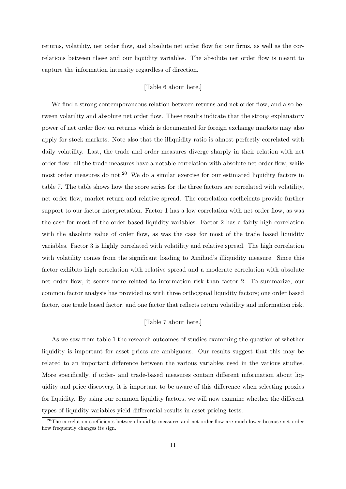returns, volatility, net order flow, and absolute net order flow for our firms, as well as the correlations between these and our liquidity variables. The absolute net order flow is meant to capture the information intensity regardless of direction.

#### [Table 6 about here.]

We find a strong contemporaneous relation between returns and net order flow, and also between volatility and absolute net order flow. These results indicate that the strong explanatory power of net order flow on returns which is documented for foreign exchange markets may also apply for stock markets. Note also that the illiquidity ratio is almost perfectly correlated with daily volatility. Last, the trade and order measures diverge sharply in their relation with net order flow: all the trade measures have a notable correlation with absolute net order flow, while most order measures do not.<sup>20</sup> We do a similar exercise for our estimated liquidity factors in table 7. The table shows how the score series for the three factors are correlated with volatility, net order flow, market return and relative spread. The correlation coefficients provide further support to our factor interpretation. Factor 1 has a low correlation with net order flow, as was the case for most of the order based liquidity variables. Factor 2 has a fairly high correlation with the absolute value of order flow, as was the case for most of the trade based liquidity variables. Factor 3 is highly correlated with volatility and relative spread. The high correlation with volatility comes from the significant loading to Amihud's illiquidity measure. Since this factor exhibits high correlation with relative spread and a moderate correlation with absolute net order flow, it seems more related to information risk than factor 2. To summarize, our common factor analysis has provided us with three orthogonal liquidity factors; one order based factor, one trade based factor, and one factor that reflects return volatility and information risk.

#### [Table 7 about here.]

As we saw from table 1 the research outcomes of studies examining the question of whether liquidity is important for asset prices are ambiguous. Our results suggest that this may be related to an important difference between the various variables used in the various studies. More specifically, if order- and trade-based measures contain different information about liquidity and price discovery, it is important to be aware of this difference when selecting proxies for liquidity. By using our common liquidity factors, we will now examine whether the different types of liquidity variables yield differential results in asset pricing tests.

<sup>&</sup>lt;sup>20</sup>The correlation coefficients between liquidity measures and net order flow are much lower because net order flow frequently changes its sign.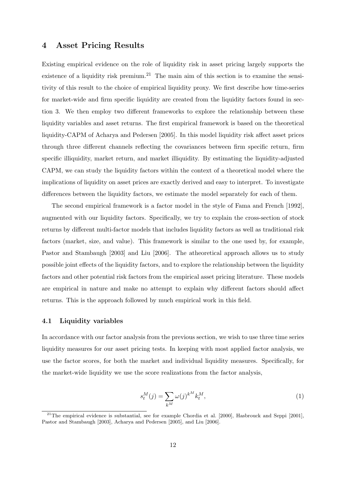## 4 Asset Pricing Results

Existing empirical evidence on the role of liquidity risk in asset pricing largely supports the existence of a liquidity risk premium.<sup>21</sup> The main aim of this section is to examine the sensitivity of this result to the choice of empirical liquidity proxy. We first describe how time-series for market-wide and firm specific liquidity are created from the liquidity factors found in section 3. We then employ two different frameworks to explore the relationship between these liquidity variables and asset returns. The first empirical framework is based on the theoretical liquidity-CAPM of Acharya and Pedersen [2005]. In this model liquidity risk affect asset prices through three different channels reflecting the covariances between firm specific return, firm specific illiquidity, market return, and market illiquidity. By estimating the liquidity-adjusted CAPM, we can study the liquidity factors within the context of a theoretical model where the implications of liquidity on asset prices are exactly derived and easy to interpret. To investigate differences between the liquidity factors, we estimate the model separately for each of them.

The second empirical framework is a factor model in the style of Fama and French [1992], augmented with our liquidity factors. Specifically, we try to explain the cross-section of stock returns by different multi-factor models that includes liquidity factors as well as traditional risk factors (market, size, and value). This framework is similar to the one used by, for example, Pastor and Stambaugh [2003] and Liu [2006]. The atheoretical approach allows us to study possible joint effects of the liquidity factors, and to explore the relationship between the liquidity factors and other potential risk factors from the empirical asset pricing literature. These models are empirical in nature and make no attempt to explain why different factors should affect returns. This is the approach followed by much empirical work in this field.

#### 4.1 Liquidity variables

In accordance with our factor analysis from the previous section, we wish to use three time series liquidity measures for our asset pricing tests. In keeping with most applied factor analysis, we use the factor scores, for both the market and individual liquidity measures. Specifically, for the market-wide liquidity we use the score realizations from the factor analysis,

$$
s_t^M(j) = \sum_{k^M} \omega(j)^{k^M} k_t^M,
$$
\n<sup>(1)</sup>

<sup>&</sup>lt;sup>21</sup>The empirical evidence is substantial, see for example Chordia et al. [2000], Hasbrouck and Seppi [2001], Pastor and Stambaugh [2003], Acharya and Pedersen [2005], and Liu [2006].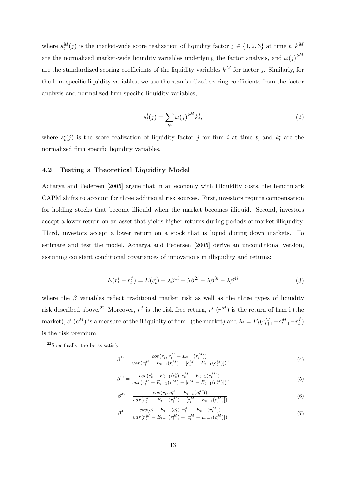where  $s_t^M(j)$  is the market-wide score realization of liquidity factor  $j \in \{1,2,3\}$  at time t,  $k^M$ are the normalized market-wide liquidity variables underlying the factor analysis, and  $\omega(j)^{k^M}$ are the standardized scoring coefficients of the liquidity variables  $k^M$  for factor j. Similarly, for the firm specific liquidity variables, we use the standardized scoring coefficients from the factor analysis and normalized firm specific liquidity variables,

$$
s_t^i(j) = \sum_{k^i} \omega(j)^{k^M} k_t^i,\tag{2}
$$

where  $s_t^i(j)$  is the score realization of liquidity factor j for firm i at time t, and  $k_t^i$  are the normalized firm specific liquidity variables.

#### 4.2 Testing a Theoretical Liquidity Model

Acharya and Pedersen [2005] argue that in an economy with illiquidity costs, the benchmark CAPM shifts to account for three additional risk sources. First, investors require compensation for holding stocks that become illiquid when the market becomes illiquid. Second, investors accept a lower return on an asset that yields higher returns during periods of market illiquidity. Third, investors accept a lower return on a stock that is liquid during down markets. To estimate and test the model, Acharya and Pedersen [2005] derive an unconditional version, assuming constant conditional covariances of innovations in illiquidity and returns:

$$
E(r_t^i - r_t^f) = E(c_t^i) + \lambda \beta^{1i} + \lambda \beta^{2i} - \lambda \beta^{3i} - \lambda \beta^{4i}
$$
\n(3)

where the  $\beta$  variables reflect traditional market risk as well as the three types of liquidity risk described above.<sup>22</sup> Moreover,  $r^f$  is the risk free return,  $r^i$  ( $r^M$ ) is the return of firm i (the market),  $c^i$  ( $c^M$ ) is a measure of the illiquidity of firm i (the market) and  $\lambda_t = E_t(r_{t+1}^M - c_{t+1}^M - r_t^M)$  $\binom{J}{t}$ is the risk premium.

$$
\beta^{1i} = \frac{cov(r_t^i, r_t^M - E_{t-1}(r_t^M))}{var(r_t^M - E_{t-1}(r_t^M) - [c_t^M - E_{t-1}(c_t^M)])},\tag{4}
$$

$$
\beta^{2i} = \frac{cov(c_t^i - E_{t-1}(c_t^i), c_t^M - E_{t-1}(c_t^M))}{var(r_t^M - E_{t-1}(r_t^M) - [c_t^M - E_{t-1}(c_t^M)])},
$$
\n(5)

$$
\beta^{3i} = \frac{cov(r_t^i, c_t^M - E_{t-1}(c_t^M))}{var(r_t^M - E_{t-1}(r_t^M) - [c_t^M - E_{t-1}(c_t^M)])}
$$
(6)

$$
\beta^{4i} = \frac{cov(c_t^i - E_{t-1}(c_t^i), r_t^M - E_{t-1}(r_t^M))}{var(r_t^M - E_{t-1}(r_t^M) - [c_t^M - E_{t-1}(c_t^M)])} \tag{7}
$$

<sup>22</sup>Specifically, the betas satisfy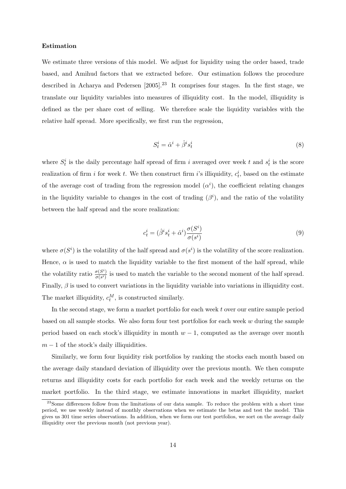#### Estimation

We estimate three versions of this model. We adjust for liquidity using the order based, trade based, and Amihud factors that we extracted before. Our estimation follows the procedure described in Acharya and Pedersen  $[2005]$ .<sup>23</sup> It comprises four stages. In the first stage, we translate our liquidity variables into measures of illiquidity cost. In the model, illiquidity is defined as the per share cost of selling. We therefore scale the liquidity variables with the relative half spread. More specifically, we first run the regression,

$$
S_t^i = \hat{\alpha}^i + \hat{\beta}^i s_t^i \tag{8}
$$

where  $S_t^i$  is the daily percentage half spread of firm i averaged over week t and  $s_t^i$  is the score realization of firm i for week t. We then construct firm i's illiquidity,  $c_t^i$ , based on the estimate of the average cost of trading from the regression model  $(\alpha^i)$ , the coefficient relating changes in the liquidity variable to changes in the cost of trading  $(\beta^i)$ , and the ratio of the volatility between the half spread and the score realization:

$$
c_t^i = (\hat{\beta}^i s_t^i + \hat{\alpha}^i) \frac{\sigma(S^i)}{\sigma(s^i)}
$$
\n
$$
\tag{9}
$$

where  $\sigma(S^i)$  is the volatility of the half spread and  $\sigma(s^i)$  is the volatility of the score realization. Hence,  $\alpha$  is used to match the liquidity variable to the first moment of the half spread, while the volatility ratio  $\frac{\sigma(S^i)}{\sigma(s^i)}$  $\frac{\sigma(S)}{\sigma(s^i)}$  is used to match the variable to the second moment of the half spread. Finally,  $\beta$  is used to convert variations in the liquidity variable into variations in illiquidity cost. The market illiquidity,  $c_t^M$ , is constructed similarly.

In the second stage, we form a market portfolio for each week t over our entire sample period based on all sample stocks. We also form four test portfolios for each week  $w$  during the sample period based on each stock's illiquidity in month  $w - 1$ , computed as the average over month  $m-1$  of the stock's daily illiquidities.

Similarly, we form four liquidity risk portfolios by ranking the stocks each month based on the average daily standard deviation of illiquidity over the previous month. We then compute returns and illiquidity costs for each portfolio for each week and the weekly returns on the market portfolio. In the third stage, we estimate innovations in market illiquidity, market

<sup>&</sup>lt;sup>23</sup>Some differences follow from the limitations of our data sample. To reduce the problem with a short time period, we use weekly instead of monthly observations when we estimate the betas and test the model. This gives us 301 time series observations. In addition, when we form our test portfolios, we sort on the average daily illiquidity over the previous month (not previous year).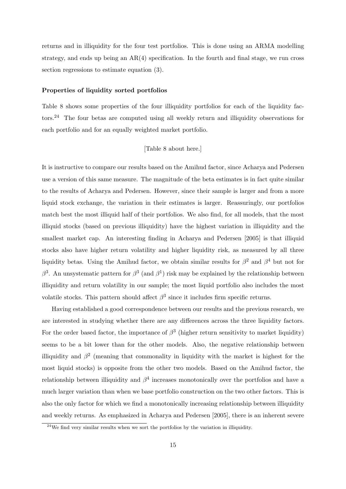returns and in illiquidity for the four test portfolios. This is done using an ARMA modelling strategy, and ends up being an  $AR(4)$  specification. In the fourth and final stage, we run cross section regressions to estimate equation (3).

#### Properties of liquidity sorted portfolios

Table 8 shows some properties of the four illiquidity portfolios for each of the liquidity factors.<sup>24</sup> The four betas are computed using all weekly return and illiquidity observations for each portfolio and for an equally weighted market portfolio.

#### [Table 8 about here.]

It is instructive to compare our results based on the Amihud factor, since Acharya and Pedersen use a version of this same measure. The magnitude of the beta estimates is in fact quite similar to the results of Acharya and Pedersen. However, since their sample is larger and from a more liquid stock exchange, the variation in their estimates is larger. Reassuringly, our portfolios match best the most illiquid half of their portfolios. We also find, for all models, that the most illiquid stocks (based on previous illiquidity) have the highest variation in illiquidity and the smallest market cap. An interesting finding in Acharya and Pedersen [2005] is that illiquid stocks also have higher return volatility and higher liquidity risk, as measured by all three liquidity betas. Using the Amihud factor, we obtain similar results for  $\beta^2$  and  $\beta^4$  but not for β<sup>3</sup>. An unsystematic pattern for β<sup>3</sup> (and β<sup>1</sup>) risk may be explained by the relationship between illiquidity and return volatility in our sample; the most liquid portfolio also includes the most volatile stocks. This pattern should affect  $\beta^3$  since it includes firm specific returns.

Having established a good correspondence between our results and the previous research, we are interested in studying whether there are any differences across the three liquidity factors. For the order based factor, the importance of  $\beta^3$  (higher return sensitivity to market liquidity) seems to be a bit lower than for the other models. Also, the negative relationship between illiquidity and  $\beta^2$  (meaning that commonality in liquidity with the market is highest for the most liquid stocks) is opposite from the other two models. Based on the Amihud factor, the relationship between illiquidity and  $\beta^4$  increases monotonically over the portfolios and have a much larger variation than when we base portfolio construction on the two other factors. This is also the only factor for which we find a monotonically increasing relationship between illiquidity and weekly returns. As emphasized in Acharya and Pedersen [2005], there is an inherent severe

 $24$ We find very similar results when we sort the portfolios by the variation in illiquidity.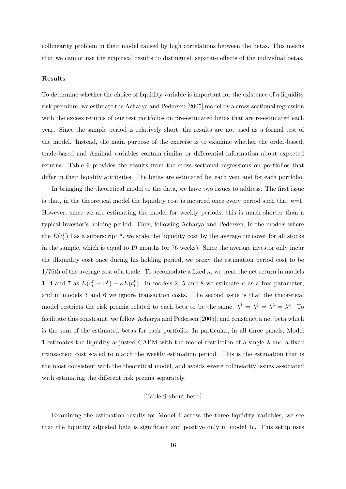collinearity problem in their model caused by high correlations between the betas. This means that we cannot use the empirical results to distinguish separate effects of the individual betas.

#### Results

To determine whether the choice of liquidity variable is important for the existence of a liquidity risk premium, we estimate the Acharya and Pedersen [2005] model by a cross-sectional regression with the excess returns of our test portfolios on pre-estimated betas that are re-estimated each year. Since the sample period is relatively short, the results are not used as a formal test of the model. Instead, the main purpose of the exercise is to examine whether the order-based, trade-based and Amihud variables contain similar or differential information about expected returns. Table 9 provides the results from the cross sectional regressions on portfolios that differ in their liqudity attributes. The betas are estimated for each year and for each portfolio.

In bringing the theoretical model to the data, we have two issues to address. The first issue is that, in the theoretical model the liquidity cost is incurred once every period such that  $\kappa=1$ . However, since we are estimating the model for weekly periods, this is much shorter than a typical investor's holding period. Thus, following Acharya and Pedersen, in the models where the  $E(c_t^p)$  $_t^p$ ) has a superscript <sup>*a*</sup>, we scale the liquidity cost by the average turnover for all stocks in the sample, which is equal to 19 months (or 76 weeks). Since the average investor only incur the illiquidity cost once during his holding period, we proxy the estimation period cost to be  $1/76$ th of the average cost of a trade. To accomodate a fixed  $\kappa$ , we treat the net return in models 1, 4 and 7 as  $E(r_t^p - r^f) - \kappa E(c_t^p)$ <sup>*p*</sup>). In models 2, 5 and 8 we estimate  $\kappa$  as a free parameter, and in models 3 and 6 we ignore transaction costs. The second issue is that the theoretical model restricts the risk premia related to each beta to be the same,  $\lambda^1 = \lambda^2 = \lambda^3 = \lambda^4$ . To facilitate this constraint, we follow Acharya and Pedersen [2005], and construct a net beta which is the sum of the estimated betas for each portfolio. In particular, in all three panels, Model 1 estimates the liquidity adjusted CAPM with the model restriction of a single  $\lambda$  and a fixed transaction cost scaled to match the weekly estimation period. This is the estimation that is the most consistent with the theoretical model, and avoids severe collinearity issues associated with estimating the different risk premia separately.

#### [Table 9 about here.]

Examining the estimation results for Model 1 across the three liquidity variables, we see that the liquidity adjusted beta is significant and positive only in model 1c. This setup uses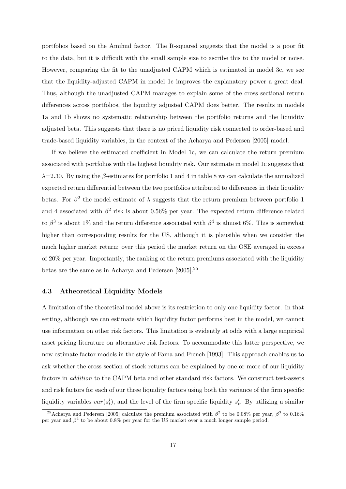portfolios based on the Amihud factor. The R-squared suggests that the model is a poor fit to the data, but it is difficult with the small sample size to ascribe this to the model or noise. However, comparing the fit to the unadjusted CAPM which is estimated in model 3c, we see that the liquidity-adjusted CAPM in model 1c improves the explanatory power a great deal. Thus, although the unadjusted CAPM manages to explain some of the cross sectional return differences across portfolios, the liquidity adjusted CAPM does better. The results in models 1a and 1b shows no systematic relationship between the portfolio returns and the liquidity adjusted beta. This suggests that there is no priced liquidity risk connected to order-based and trade-based liquidity variables, in the context of the Acharya and Pedersen [2005] model.

If we believe the estimated coefficient in Model 1c, we can calculate the return premium associated with portfolios with the highest liquidity risk. Our estimate in model 1c suggests that  $\lambda$ =2.30. By using the β-estimates for portfolio 1 and 4 in table 8 we can calculate the annualized expected return differential between the two portfolios attributed to differences in their liquidity betas. For  $\beta^2$  the model estimate of  $\lambda$  suggests that the return premium between portfolio 1 and 4 associated with  $\beta^2$  risk is about 0.56% per year. The expected return difference related to  $\beta^3$  is about 1% and the return difference associated with  $\beta^4$  is almost 6%. This is somewhat higher than corresponding results for the US, although it is plausible when we consider the much higher market return: over this period the market return on the OSE averaged in excess of 20% per year. Importantly, the ranking of the return premiums associated with the liquidity betas are the same as in Acharya and Pedersen [2005].<sup>25</sup>

#### 4.3 Atheoretical Liquidity Models

A limitation of the theoretical model above is its restriction to only one liquidity factor. In that setting, although we can estimate which liquidity factor performs best in the model, we cannot use information on other risk factors. This limitation is evidently at odds with a large empirical asset pricing literature on alternative risk factors. To accommodate this latter perspective, we now estimate factor models in the style of Fama and French [1993]. This approach enables us to ask whether the cross section of stock returns can be explained by one or more of our liquidity factors in addition to the CAPM beta and other standard risk factors. We construct test-assets and risk factors for each of our three liquidity factors using both the variance of the firm specific liquidity variables  $var(s_t^i)$ , and the level of the firm specific liquidity  $s_t^i$ . By utilizing a similar

<sup>&</sup>lt;sup>25</sup>Acharya and Pedersen [2005] calculate the premium associated with  $\beta^2$  to be 0.08% per year,  $\beta^3$  to 0.16% per year and  $\beta^4$  to be about 0.8% per year for the US market over a much longer sample period.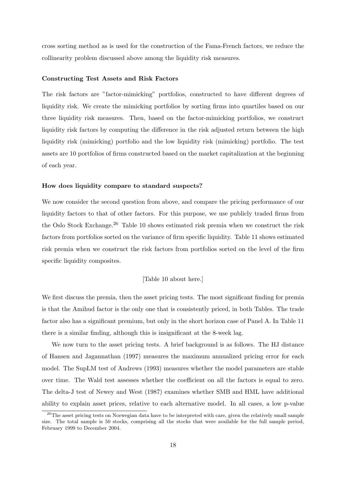cross sorting method as is used for the construction of the Fama-French factors, we reduce the collinearity problem discussed above among the liquidity risk measures.

#### Constructing Test Assets and Risk Factors

The risk factors are "factor-mimicking" portfolios, constructed to have different degrees of liquidity risk. We create the mimicking portfolios by sorting firms into quartiles based on our three liquidity risk measures. Then, based on the factor-mimicking portfolios, we construct liquidity risk factors by computing the difference in the risk adjusted return between the high liquidity risk (mimicking) portfolio and the low liquidity risk (mimicking) portfolio. The test assets are 10 portfolios of firms constructed based on the market capitalization at the beginning of each year.

#### How does liquidity compare to standard suspects?

We now consider the second question from above, and compare the pricing performance of our liquidity factors to that of other factors. For this purpose, we use publicly traded firms from the Oslo Stock Exchange.<sup>26</sup> Table 10 shows estimated risk premia when we construct the risk factors from portfolios sorted on the variance of firm specific liquidity. Table 11 shows estimated risk premia when we construct the risk factors from portfolios sorted on the level of the firm specific liquidity composites.

#### [Table 10 about here.]

We first discuss the premia, then the asset pricing tests. The most significant finding for premia is that the Amihud factor is the only one that is consistently priced, in both Tables. The trade factor also has a significant premium, but only in the short horizon case of Panel A. In Table 11 there is a similar finding, although this is insignificant at the 8-week lag.

We now turn to the asset pricing tests. A brief background is as follows. The HJ distance of Hansen and Jagannathan (1997) measures the maximum annualized pricing error for each model. The SupLM test of Andrews (1993) measures whether the model parameters are stable over time. The Wald test assesses whether the coefficient on all the factors is equal to zero. The delta-J test of Newey and West (1987) examines whether SMB and HML have additional ability to explain asset prices, relative to each alternative model. In all cases, a low p-value

<sup>&</sup>lt;sup>26</sup>The asset pricing tests on Norwegian data have to be interpreted with care, given the relatively small sample size. The total sample is 50 stocks, comprising all the stocks that were available for the full sample period, February 1999 to December 2004.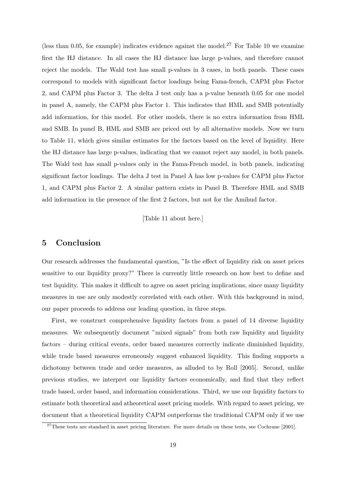(less than 0.05, for example) indicates evidence against the model.<sup>27</sup> For Table 10 we examine first the HJ distance. In all cases the HJ distance has large p-values, and therefore cannot reject the models. The Wald test has small p-values in 3 cases, in both panels. These cases correspond to models with significant factor loadings being Fama-french, CAPM plus Factor 2, and CAPM plus Factor 3. The delta J test only has a p-value beneath 0.05 for one model in panel A, namely, the CAPM plus Factor 1. This indicates that HML and SMB potentially add information, for this model. For other models, there is no extra information from HML and SMB. In panel B, HML and SMB are priced out by all alternative models. Now we turn to Table 11, which gives similar estimates for the factors based on the level of liquidity. Here the HJ distance has large p-values, indicating that we cannot reject any model, in both panels. The Wald test has small p-values only in the Fama-French model, in both panels, indicating significant factor loadings. The delta J test in Panel A has low p-values for CAPM plus Factor 1, and CAPM plus Factor 2. A similar pattern exists in Panel B. Therefore HML and SMB add information in the presence of the first 2 factors, but not for the Amihud factor.

[Table 11 about here.]

# 5 Conclusion

Our research addresses the fundamental question, "Is the effect of liquidity risk on asset prices sensitive to our liquidity proxy?" There is currently little research on how best to define and test liquidity. This makes it difficult to agree on asset pricing implications, since many liquidity measures in use are only modestly correlated with each other. With this background in mind, our paper proceeds to address our leading question, in three steps.

First, we construct comprehensive liquidity factors from a panel of 14 diverse liquidity measures. We subsequently document "mixed signals" from both raw liquidity and liquidity factors – during critical events, order based measures correctly indicate diminished liquidity, while trade based measures erroneously suggest enhanced liquidity. This finding supports a dichotomy between trade and order measures, as alluded to by Roll [2005]. Second, unlike previous studies, we interpret our liquidity factors economically, and find that they reflect trade based, order based, and information considerations. Third, we use our liquidity factors to estimate both theoretical and atheoretical asset pricing models. With regard to asset pricing, we document that a theoretical liquidity CAPM outperforms the traditional CAPM only if we use

 $27$ These tests are standard in asset pricing literature. For more details on these tests, see Cochrane [2001].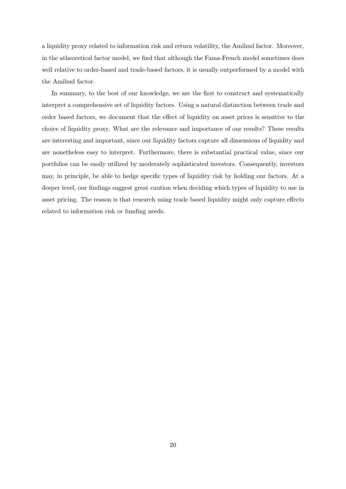a liquidity proxy related to information risk and return volatility, the Amihud factor. Moreover, in the atheoretical factor model, we find that although the Fama-French model sometimes does well relative to order-based and trade-based factors, it is usually outperformed by a model with the Amihud factor.

In summary, to the best of our knowledge, we are the first to construct and systematically interpret a comprehensive set of liquidity factors. Using a natural distinction between trade and order based factors, we document that the effect of liquidity on asset prices is sensitive to the choice of liquidity proxy. What are the relevance and importance of our results? These results are interesting and important, since our liquidity factors capture all dimensions of liquidity and are nonetheless easy to interpret. Furthermore, there is substantial practical value, since our portfolios can be easily utilized by moderately sophisticated investors. Consequently, investors may, in principle, be able to hedge specific types of liquidity risk by holding our factors. At a deeper level, our findings suggest great caution when deciding which types of liquidity to use in asset pricing. The reason is that research using trade based liquidity might only capture effects related to information risk or funding needs.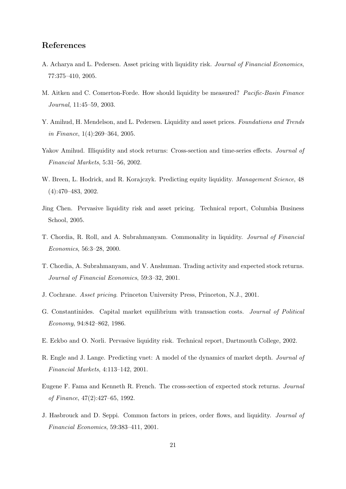# References

- A. Acharya and L. Pedersen. Asset pricing with liquidity risk. Journal of Financial Economics, 77:375–410, 2005.
- M. Aitken and C. Comerton-Forde. How should liquidity be measured? Pacific-Basin Finance Journal, 11:45–59, 2003.
- Y. Amihud, H. Mendelson, and L. Pedersen. Liquidity and asset prices. Foundations and Trends in Finance, 1(4):269–364, 2005.
- Yakov Amihud. Illiquidity and stock returns: Cross-section and time-series effects. Journal of Financial Markets, 5:31–56, 2002.
- W. Breen, L. Hodrick, and R. Korajczyk. Predicting equity liquidity. Management Science, 48 (4):470–483, 2002.
- Jing Chen. Pervasive liquidity risk and asset pricing. Technical report, Columbia Business School, 2005.
- T. Chordia, R. Roll, and A. Subrahmanyam. Commonality in liquidity. Journal of Financial Economics, 56:3–28, 2000.
- T. Chordia, A. Subrahmanyam, and V. Anshuman. Trading activity and expected stock returns. Journal of Financial Economics, 59:3–32, 2001.
- J. Cochrane. Asset pricing. Princeton University Press, Princeton, N.J., 2001.
- G. Constantinides. Capital market equilibrium with transaction costs. Journal of Political Economy, 94:842–862, 1986.
- E. Eckbo and O. Norli. Pervasive liquidity risk. Technical report, Dartmouth College, 2002.
- R. Engle and J. Lange. Predicting vnet: A model of the dynamics of market depth. Journal of Financial Markets, 4:113–142, 2001.
- Eugene F. Fama and Kenneth R. French. The cross-section of expected stock returns. Journal of Finance, 47(2):427–65, 1992.
- J. Hasbrouck and D. Seppi. Common factors in prices, order flows, and liquidity. Journal of Financial Economics, 59:383–411, 2001.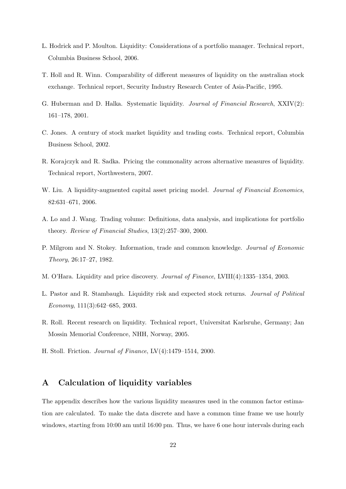- L. Hodrick and P. Moulton. Liquidity: Considerations of a portfolio manager. Technical report, Columbia Business School, 2006.
- T. Holl and R. Winn. Comparability of different measures of liquidity on the australian stock exchange. Technical report, Security Industry Research Center of Asia-Pacific, 1995.
- G. Huberman and D. Halka. Systematic liquidity. Journal of Financial Research, XXIV(2): 161–178, 2001.
- C. Jones. A century of stock market liquidity and trading costs. Technical report, Columbia Business School, 2002.
- R. Korajczyk and R. Sadka. Pricing the commonality across alternative measures of liquidity. Technical report, Northwestern, 2007.
- W. Liu. A liquidity-augmented capital asset pricing model. Journal of Financial Economics, 82:631–671, 2006.
- A. Lo and J. Wang. Trading volume: Definitions, data analysis, and implications for portfolio theory. Review of Financial Studies, 13(2):257–300, 2000.
- P. Milgrom and N. Stokey. Information, trade and common knowledge. Journal of Economic Theory, 26:17–27, 1982.
- M. O'Hara. Liquidity and price discovery. Journal of Finance, LVIII(4):1335–1354, 2003.
- L. Pastor and R. Stambaugh. Liquidity risk and expected stock returns. Journal of Political Economy, 111(3):642–685, 2003.
- R. Roll. Recent research on liquidity. Technical report, Universitat Karlsruhe, Germany; Jan Mossin Memorial Conference, NHH, Norway, 2005.
- H. Stoll. Friction. Journal of Finance, LV(4):1479–1514, 2000.

# A Calculation of liquidity variables

The appendix describes how the various liquidity measures used in the common factor estimation are calculated. To make the data discrete and have a common time frame we use hourly windows, starting from 10:00 am until 16:00 pm. Thus, we have 6 one hour intervals during each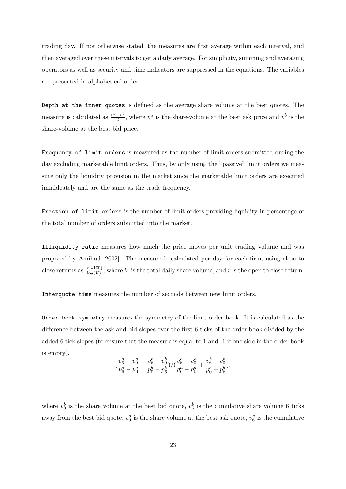trading day. If not otherwise stated, the measures are first average within each interval, and then averaged over these intervals to get a daily average. For simplicity, summing and averaging operators as well as security and time indicators are suppressed in the equations. The variables are presented in alphabetical order.

Depth at the inner quotes is defined as the average share volume at the best quotes. The measure is calculated as  $\frac{v^a + v^b}{2}$  $\frac{+v^b}{2}$ , where  $v^a$  is the share-volume at the best ask price and  $v^b$  is the share-volume at the best bid price.

Frequency of limit orders is measured as the number of limit orders submitted during the day excluding marketable limit orders. Thus, by only using the "passive" limit orders we measure only the liquidity provision in the market since the marketable limit orders are executed immideately and are the same as the trade frequency.

Fraction of limit orders is the number of limit orders providing liquidity in percentage of the total number of orders submitted into the market.

Illiquidity ratio measures how much the price moves per unit trading volume and was proposed by Amihud [2002]. The measure is calculated per day for each firm, using close to close returns as  $\frac{|r|*100}{\log(V)}$ , where V is the total daily share volume, and r is the open to close return.

Interquote time measures the number of seconds between new limit orders.

Order book symmetry measures the symmetry of the limit order book. It is calculated as the difference between the ask and bid slopes over the first 6 ticks of the order book divided by the added 6 tick slopes (to ensure that the measure is equal to 1 and -1 if one side in the order book is empty),

$$
(\frac{v_6^a-v_0^a}{p_6^a-p_0^a}-\frac{v_6^b-v_0^b}{p_0^b-p_6^b})/(\frac{v_6^a-v_0^a}{p_6^a-p_0^a}+\frac{v_6^b-v_0^b}{p_0^b-p_6^b}),
$$

where  $v_0^b$  is the share volume at the best bid quote,  $v_6^b$  is the cumulative share volume 6 ticks away from the best bid quote,  $v_0^a$  is the share volume at the best ask quote,  $v_6^a$  is the cumulative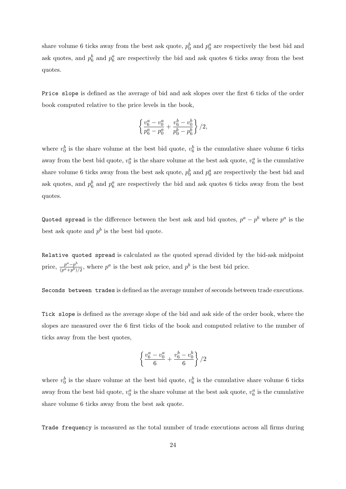share volume 6 ticks away from the best ask quote,  $p_0^b$  and  $p_0^a$  are respectively the best bid and ask quotes, and  $p_6^b$  and  $p_6^a$  are respectively the bid and ask quotes 6 ticks away from the best quotes.

Price slope is defined as the average of bid and ask slopes over the first 6 ticks of the order book computed relative to the price levels in the book,

$$
\left\{\frac{v_6^a - v_0^a}{p_6^a - p_0^a} + \frac{v_6^b - v_0^b}{p_0^b - p_6^b}\right\}/2,
$$

where  $v_0^b$  is the share volume at the best bid quote,  $v_6^b$  is the cumulative share volume 6 ticks away from the best bid quote,  $v_0^a$  is the share volume at the best ask quote,  $v_6^a$  is the cumulative share volume 6 ticks away from the best ask quote,  $p_0^b$  and  $p_0^a$  are respectively the best bid and ask quotes, and  $p_6^b$  and  $p_6^a$  are respectively the bid and ask quotes 6 ticks away from the best quotes.

Quoted spread is the difference between the best ask and bid quotes,  $p^a - p^b$  where  $p^a$  is the best ask quote and  $p^b$  is the best bid quote.

Relative quoted spread is calculated as the quoted spread divided by the bid-ask midpoint price,  $\frac{p^a-p^b}{(pq+b)}$  $\frac{p^a-p^b}{(p^a+p^b)/2}$ , where  $p^a$  is the best ask price, and  $p^b$  is the best bid price.

Seconds between trades is defined as the average number of seconds between trade executions.

Tick slope is defined as the average slope of the bid and ask side of the order book, where the slopes are measured over the 6 first ticks of the book and computed relative to the number of ticks away from the best quotes,

$$
\left\{\frac{v_6^a-v_0^a}{6}+\frac{v_6^b-v_0^b}{6}\right\}/2
$$

where  $v_0^b$  is the share volume at the best bid quote,  $v_6^b$  is the cumulative share volume 6 ticks away from the best bid quote,  $v_0^a$  is the share volume at the best ask quote,  $v_6^a$  is the cumulative share volume 6 ticks away from the best ask quote.

Trade frequency is measured as the total number of trade executions across all firms during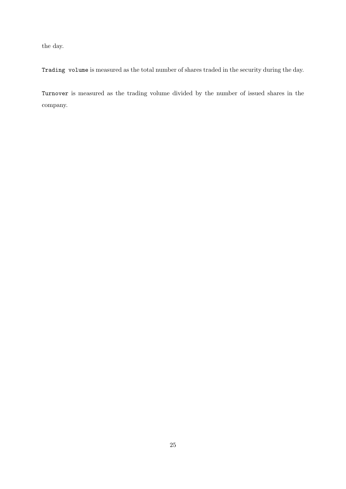the day.

Trading volume is measured as the total number of shares traded in the security during the day.

Turnover is measured as the trading volume divided by the number of issued shares in the company.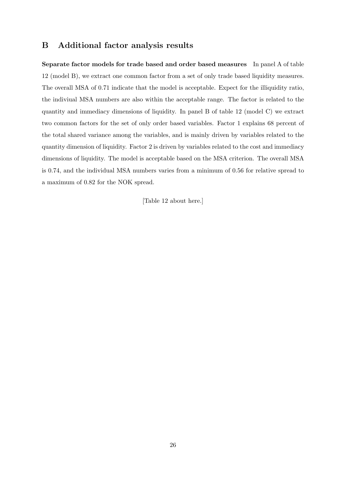# B Additional factor analysis results

Separate factor models for trade based and order based measures In panel A of table 12 (model B), we extract one common factor from a set of only trade based liquidity measures. The overall MSA of 0.71 indicate that the model is acceptable. Expect for the illiquidity ratio, the indiviual MSA numbers are also within the acceptable range. The factor is related to the quantity and immediacy dimensions of liquidity. In panel B of table 12 (model C) we extract two common factors for the set of only order based variables. Factor 1 explains 68 percent of the total shared variance among the variables, and is mainly driven by variables related to the quantity dimension of liquidity. Factor 2 is driven by variables related to the cost and immediacy dimensions of liquidity. The model is acceptable based on the MSA criterion. The overall MSA is 0.74, and the individual MSA numbers varies from a minimum of 0.56 for relative spread to a maximum of 0.82 for the NOK spread.

[Table 12 about here.]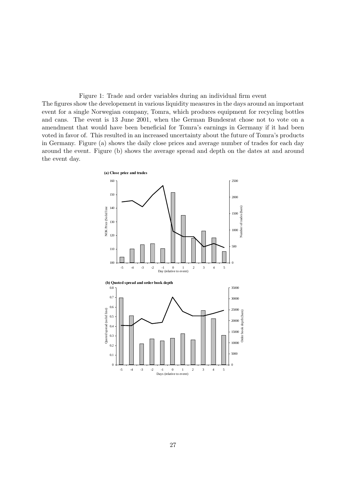Figure 1: Trade and order variables during an individual firm event The figures show the developement in various liquidity measures in the days around an important event for a single Norwegian company, Tomra, which produces equipment for recycling bottles and cans. The event is 13 June 2001, when the German Bundesrat chose not to vote on a amendment that would have been beneficial for Tomra's earnings in Germany if it had been voted in favor of. This resulted in an increased uncertainty about the future of Tomra's products in Germany. Figure (a) shows the daily close prices and average number of trades for each day around the event. Figure (b) shows the average spread and depth on the dates at and around the event day.

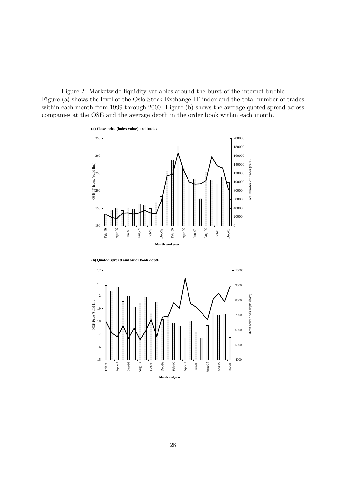Figure 2: Marketwide liquidity variables around the burst of the internet bubble Figure (a) shows the level of the Oslo Stock Exchange IT index and the total number of trades within each month from 1999 through 2000. Figure (b) shows the average quoted spread across companies at the OSE and the average depth in the order book within each month.



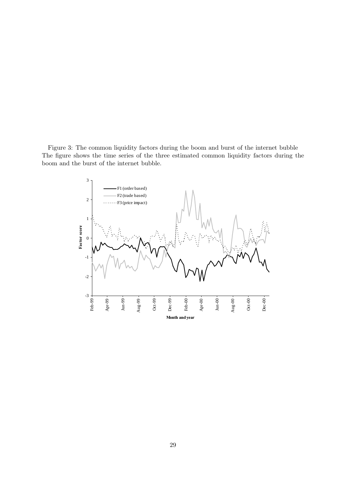Figure 3: The common liquidity factors during the boom and burst of the internet bubble The figure shows the time series of the three estimated common liquidity factors during the boom and the burst of the internet bubble.

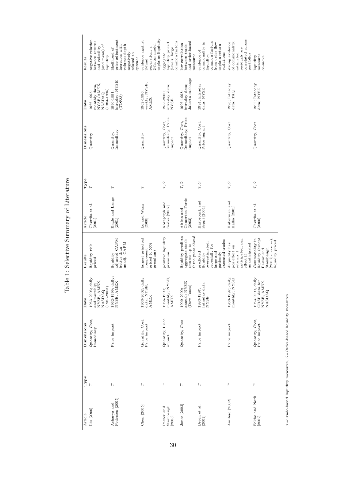Table 1: Selective Summary of Literature Table 1: Selective Summary of Literature

| Results    | negative relation<br>between returns<br>(and mean) of<br>and volatility<br>liquidity | price adjustment<br>increases with<br>volume; depth<br>likelihood of<br>negatively<br>related to<br>spreads | explains liquidity<br>evidence against<br>2-factor model<br>separation; a<br>$2$ -fund | common factors<br>liquidity priced<br>(level); large<br>aggregate | and order-based<br>low correlation<br>between trade-<br>measures            | common factors<br>commonality in<br>from order flow<br>explain return<br>evidence of<br>variations<br>liquidity; | correlated across<br>of commonality;<br>strong evidence<br>residuals are<br>estimated<br>portfolios | measures<br>liquidity<br>co-move                                                                     |
|------------|--------------------------------------------------------------------------------------|-------------------------------------------------------------------------------------------------------------|----------------------------------------------------------------------------------------|-------------------------------------------------------------------|-----------------------------------------------------------------------------|------------------------------------------------------------------------------------------------------------------|-----------------------------------------------------------------------------------------------------|------------------------------------------------------------------------------------------------------|
| Data       | NYSE/AMEX,<br>monthly data,<br>$(1984 - 1995)$<br>1966-1995;<br><b>NASDAQ</b>        | intraday; NYSE<br>$.990 - 1991;$<br>(TORQ)                                                                  | weekly; NYSE.<br>1962-1996;<br><b>AMEX</b>                                             | intraday data;<br>NYSE<br>1983-2000;                              | Jakarta exchange<br>intraday data;<br>1996-1998;                            | $1994$ ; intraday<br>data, NYSE                                                                                  | 1996; Intraday<br>data; TAQ                                                                         | 1992; Intraday<br>data; NYSE                                                                         |
| Dimensions | Quantity                                                                             | Immediacy<br>Quantity,                                                                                      | Quantity                                                                               | Immediacy, Price<br>Quantity, Cost,<br>impact                     | Immediacy, Price<br>Quantity, Cost,<br>impact                               | Quantity, Cost,<br>Price impact                                                                                  | Quantity, Cost                                                                                      | Quantity, Cost                                                                                       |
| Type       | Η                                                                                    | Н                                                                                                           | Н                                                                                      | $T, {\cal O}$                                                     | $T, {\cal O}$                                                               | $T, {\cal O}$                                                                                                    | $T, {\cal O}$                                                                                       | T, O                                                                                                 |
| Article    | Chordia et al.<br>$[2001]$                                                           | Engle and Lange<br>[2001]                                                                                   | Lo and Wang<br>[2000]                                                                  | Korajczyk and<br>Sadka [2007]                                     | Comerton-Forde<br>Aitken and<br>$[2003]$                                    | Hasbrouck and<br>Seppi [2001]                                                                                    | Huberman and<br>Halka [2001]                                                                        | Chordia et al.<br>[2000]                                                                             |
| Results    | liquidity risk<br>priced                                                             | adjusted CAPM<br>unadj. CAPM<br>better than<br>liquidity                                                    | largest principal<br>priced $(0.56\%$<br>component<br>premium)                         | positive liquidity<br>premium                                     | liquidity predicts<br>three years ahead<br>aggregate stock<br>returns up to | executed trades<br>overestimated;<br>sspecially for<br>large and<br>predicted<br>patiently<br>liquidity          | anticipated; neg<br>illiquidity has<br>unanticipated<br>pos effect on<br>returns if<br>effect if    | liquidity (except<br>Commonality in<br>2003 measure),<br>liquidity priced<br>Pastor and<br>Stambaugh |
| Data       | 1963-2003; daily<br>and monthly;<br>NYSE, AMEX,<br>$(1983 - 2003)$<br><b>NASDAQ</b>  | 1962-1999; daily;<br>NYSE, AMEX                                                                             | $1963 - 2002$ ; daily<br>data; NYSE,<br><b>AMEX</b>                                    | monthly; NYSE,<br>1966-1999;<br><b>AMEX</b>                       | annual; NYSE<br>(Dow Jones)<br>1900-2000;                                   | intraday data;<br>1993-1997;<br><b>NYSE</b>                                                                      | $1963 - 1997$ ; daily,<br>monthly; NYSE                                                             | 1963-2000, daily<br>NYSE, AMEX,<br>NASDAQ<br>CRSP data for                                           |
| Dimensions | Quantity, Cost,<br>Immediacy                                                         | Price impact                                                                                                | Quantity, Cost,<br>Price impact                                                        | Quantity, Price<br>impact                                         | Quantity, Cost                                                              | Price impact                                                                                                     | Price impact                                                                                        | Quantity, Cost,<br>Price impact                                                                      |
| Type       | Η                                                                                    | Η                                                                                                           | Η                                                                                      | Η                                                                 | H                                                                           | Η                                                                                                                | H                                                                                                   | Η                                                                                                    |
| Article    | Liu [2006]                                                                           | Pedersen [2005]<br>Acharya and                                                                              | $Chen$ $[2005]$                                                                        | Pastor and<br>Stambaugh<br>[2003]                                 | Jones [2002]                                                                | Breen et al.<br>[2002]                                                                                           | Amihud [2002]                                                                                       | Eckbo and Norli<br>[2002]                                                                            |

 $T{=} {\rm Trade-based~light~measures},~O{=}Order{\rm based~light~measures}$  $T=Trad$ e-based liquidity measures,  $O=O$ rder-based liquidity measures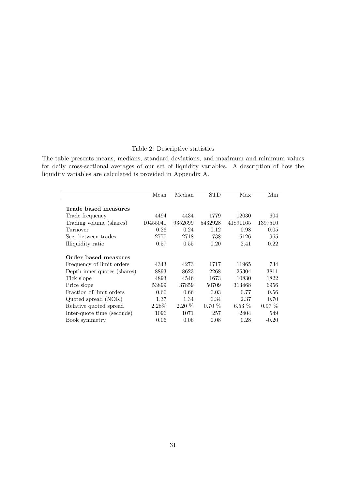#### Table 2: Descriptive statistics

The table presents means, medians, standard deviations, and maximum and minimum values for daily cross-sectional averages of our set of liquidity variables. A description of how the liquidity variables are calculated is provided in Appendix A.

|                             | Mean     | Median   | $_{\mathrm{STD}}$ | Max      | Min      |
|-----------------------------|----------|----------|-------------------|----------|----------|
| Trade based measures        |          |          |                   |          |          |
| Trade frequency             | 4494     | 4434     | 1779              | 12030    | 604      |
| Trading volume (shares)     | 10455041 | 9352699  | 5432928           | 41891165 | 1397510  |
| Turnover                    | 0.26     | 0.24     | 0.12              | 0.98     | 0.05     |
| Sec. between trades         | 2770     | 2718     | 738               | 5126     | 965      |
| Illiquidity ratio           | 0.57     | 0.55     | 0.20              | 2.41     | 0.22     |
| Order based measures        |          |          |                   |          |          |
| Frequency of limit orders   | 4343     | 4273     | 1717              | 11965    | 734      |
| Depth inner quotes (shares) | 8893     | 8623     | 2268              | 25304    | 3811     |
| Tick slope                  | 4893     | 4546     | 1673              | 10830    | 1822     |
| Price slope                 | 53899    | 37859    | 50709             | 313468   | 6956     |
| Fraction of limit orders    | 0.66     | 0.66     | 0.03              | 0.77     | 0.56     |
| Quoted spread (NOK)         | 1.37     | 1.34     | 0.34              | 2.37     | 0.70     |
| Relative quoted spread      | 2.28%    | $2.20\%$ | $0.70\%$          | $6.53\%$ | $0.97\%$ |
| Inter-quote time (seconds)  | 1096     | 1071     | 257               | 2404     | 549      |
| Book symmetry               | 0.06     | 0.06     | 0.08              | 0.28     | $-0.20$  |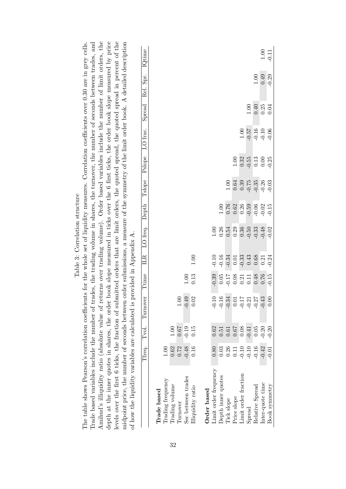| Amihud's illiquidity ratio (absolute value of returns over trading volume). Order based variables include the number of limit orders, the<br>depth at the inner quotes in shares, the order book slope measured in ticks over the 6 first ticks, the order book slope measured by price<br>frade based variables include the number of trades, the trading volume in shares, the turnover, the number of seconds between trades, and<br>midpoint price, the number of seconds between order submissions, a measure of the symmetry of the limit order book. A detailed description<br>The table shows Pearson's correlation coefficients for the whole set of liquidity measures. Correlation coefficients over 0.30 are in grey cells.<br>levels over the first 6 ticks, the fraction of sul-<br>of how the liquidity variables are calculated is | Tfreq.                                  | Tvol.                           | Turnover                       | Ttime                      | provided in Appendix A.<br>ILR | LO freq.             | Depth              | Tslope             | Pslope          | LO frac.           | Spread       | bmitted orders that are limit orders, the quoted spread, the quoted spread in percent of the<br>Rel. Spr. | IQtime          |
|----------------------------------------------------------------------------------------------------------------------------------------------------------------------------------------------------------------------------------------------------------------------------------------------------------------------------------------------------------------------------------------------------------------------------------------------------------------------------------------------------------------------------------------------------------------------------------------------------------------------------------------------------------------------------------------------------------------------------------------------------------------------------------------------------------------------------------------------------|-----------------------------------------|---------------------------------|--------------------------------|----------------------------|--------------------------------|----------------------|--------------------|--------------------|-----------------|--------------------|--------------|-----------------------------------------------------------------------------------------------------------|-----------------|
| Sec between trades<br>Trading frequency<br>Irading volume<br>Illiquidity ratio<br>Trade based<br>Turnover                                                                                                                                                                                                                                                                                                                                                                                                                                                                                                                                                                                                                                                                                                                                          | 1.00<br>0.62<br>$-0.48$<br>0.72<br>0.16 | 0.67<br>$-0.19$<br>00.1<br>0.15 | $-0.49$<br>0.02<br>$1.00\,$    | 0.13<br>1.00               | 1.00                           |                      |                    |                    |                 |                    |              |                                                                                                           |                 |
| Limit order frequency<br>Depth inner quotes<br>Order based<br>Tick slope                                                                                                                                                                                                                                                                                                                                                                                                                                                                                                                                                                                                                                                                                                                                                                           | 0.80<br>0.03<br>0.26                    | 0.62<br>0.51<br>0.61            | $-0.10$<br>$-0.34$<br>$-0.16$  | $-0.39$<br>0.05<br>$-0.17$ | $-0.10$<br>$-0.16$<br>$-0.34$  | 0.26<br>1.00<br>0.54 | 0.76<br>1.00       | 1.00               |                 |                    |              |                                                                                                           |                 |
| Limit order fraction<br>Price slope                                                                                                                                                                                                                                                                                                                                                                                                                                                                                                                                                                                                                                                                                                                                                                                                                | $-0.10$<br>0.11                         | 79.0<br>0.08                    | $-0.17$<br>$-0.21$<br>$0.01\,$ | $0.08\,$<br>0.21           | $-0.33$<br>0.01                | 0.29<br>0.36         | 0.62<br>0.26       | 0.64<br>0.39       | 0.32<br>1.00    | 1.00               |              |                                                                                                           |                 |
| Relative Spread<br>${\rm Spread}$                                                                                                                                                                                                                                                                                                                                                                                                                                                                                                                                                                                                                                                                                                                                                                                                                  | $-0.10$<br>$-0.16$                      | $-0.41$<br>0.05                 | $-0.27$                        | 0.48<br>0.11               | 0.43<br>0.68                   | $-0.50$<br>$-0.33$   | $-0.59$<br>$-0.06$ | $-0.75$<br>$-0.35$ | $-0.55$<br>0.13 | $25.0-$<br>$-0.16$ | 0.40<br>1.00 | $1.00$                                                                                                    |                 |
| Inter-quote time<br>Book symmetry                                                                                                                                                                                                                                                                                                                                                                                                                                                                                                                                                                                                                                                                                                                                                                                                                  | $-0.42$<br>$-0.01$                      | $-0.20$<br>$-0.20$              | $0.00$<br>$-0.43$              | 0.76<br>$-0.15$            | 0.21<br>$-0.24$                | $-0.48$<br>$-0.02$   | $-0.02$<br>$-0.15$ | $-0.26$<br>$-0.03$ | $-0.25$<br>0.00 | $-0.10$<br>$-0.06$ | 0.25<br>0.04 | 0.49<br>$-0.29$                                                                                           | 1.00<br>$-0.11$ |
|                                                                                                                                                                                                                                                                                                                                                                                                                                                                                                                                                                                                                                                                                                                                                                                                                                                    |                                         |                                 |                                |                            |                                |                      |                    |                    |                 |                    |              |                                                                                                           |                 |

Table 3: Correlation structure Table 3: Correlation structure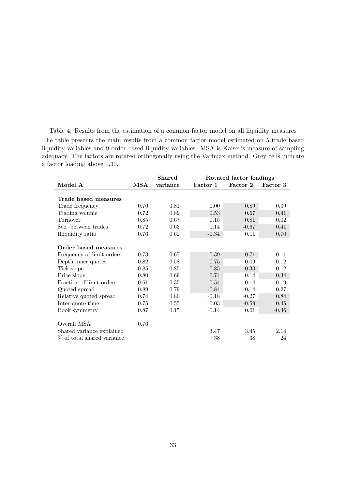Table 4: Results from the estimation of a common factor model on all liquidity measures The table presents the main results from a common factor model estimated on 5 trade based liquidity variables and 9 order based liquidity variables. MSA is Kaiser's measure of sampling adequacy. The factors are rotated orthogonally using the Varimax method. Grey cells indicate a factor loading above 0.30.

|                            |              | <b>Shared</b> |          | Rotated factor loadings |          |
|----------------------------|--------------|---------------|----------|-------------------------|----------|
| Model A                    | $_{\rm MSA}$ | variance      | Factor 1 | Factor 2                | Factor 3 |
|                            |              |               |          |                         |          |
| Trade based measures       |              |               |          |                         |          |
| Trade frequency            | 0.70         | 0.81          | 0.00     | 0.89                    | 0.09     |
| Trading volume             | 0.72         | 0.89          | 0.53     | 0.67                    | 0.41     |
| Turnover                   | 0.85         | 0.67          | 0.15     | 0.81                    | 0.02     |
| Sec. between trades        | 0.72         | 0.63          | 0.14     | $-0.67$                 | 0.41     |
| Illiquidity ratio          | 0.76         | 0.62          | $-0.34$  | 0.11                    | 0.70     |
|                            |              |               |          |                         |          |
| Order based measures       |              |               |          |                         |          |
| Frequency of limit orders  | 0.73         | 0.67          | 0.39     | 0.71                    | $-0.11$  |
| Depth inner quotes         | 0.82         | 0.58          | 0.75     | 0.09                    | 0.12     |
| Tick slope                 | 0.85         | 0.85          | 0.85     | 0.33                    | $-0.12$  |
| Price slope                | 0.80         | 0.69          | 0.74     | 0.14                    | 0.34     |
| Fraction of limit orders   | 0.61         | 0.35          | 0.54     | $-0.14$                 | $-0.19$  |
| Quoted spread              | 0.89         | 0.79          | $-0.84$  | $-0.14$                 | 0.27     |
| Relative quoted spread     | 0.74         | 0.80          | $-0.18$  | $-0.27$                 | 0.84     |
| Inter-quote time           | 0.75         | 0.55          | $-0.03$  | $-0.59$                 | 0.45     |
| Book symmetry              | 0.87         | 0.15          | $-0.14$  | 0.01                    | $-0.36$  |
|                            |              |               |          |                         |          |
| Overall MSA                | 0.76         |               |          |                         |          |
| Shared variance explained  |              |               | 3.47     | 3.45                    | 2.14     |
| % of total shared variance |              |               | 38       | 38                      | 24       |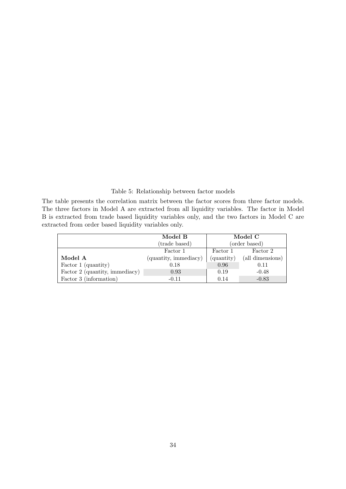#### Table 5: Relationship between factor models

The table presents the correlation matrix between the factor scores from three factor models. The three factors in Model A are extracted from all liquidity variables. The factor in Model B is extracted from trade based liquidity variables only, and the two factors in Model C are extracted from order based liquidity variables only.

|                                | Model B               |            | Model C          |
|--------------------------------|-----------------------|------------|------------------|
|                                | (trade based)         |            | (order based)    |
|                                | Factor 1              | Factor 1   | Factor 2         |
| Model A                        | (quantity, immediacy) | (quantity) | (all dimensions) |
| Factor 1 (quantity)            | 0.18                  | 0.96       | 0.11             |
| Factor 2 (quantity, immediacy) | 0.93                  | 0.19       | $-0.48$          |
| Factor 3 (information)         | $-0.11$               | 0.14       | $-0.83$          |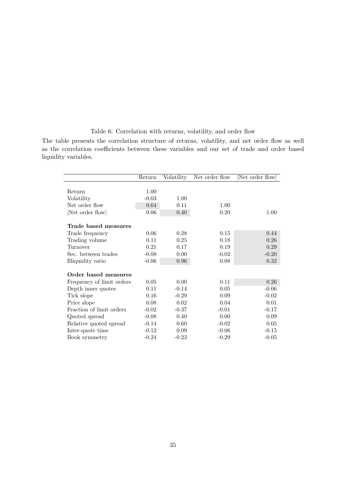## Table 6: Correlation with returns, volatility, and order flow

The table presents the correlation structure of returns, volatility, and net order flow as well as the correlation coefficients between these variables and our set of trade and order based liquidity variables.

|                           | Return  | Volatility | Net order flow | Net order flow |
|---------------------------|---------|------------|----------------|----------------|
| Return                    | 1.00    |            |                |                |
| Volatility                | $-0.03$ | 1.00       |                |                |
| Net order flow            | 0.64    | 0.11       | 1.00           |                |
| Net order flow            | 0.06    | 0.40       | 0.20           | 1.00           |
| Trade based measures      |         |            |                |                |
| Trade frequency           | 0.06    | 0.28       | 0.15           | 0.44           |
| Trading volume            | 0.11    | 0.25       | 0.18           | 0.26           |
| Turnover                  | 0.21    | 0.17       | 0.19           | 0.29           |
| Sec. between trades       | $-0.08$ | 0.00       | $-0.02$        | $-0.20$        |
| Illiquidity ratio         | $-0.06$ | 0.96       | 0.08           | 0.32           |
| Order based measures      |         |            |                |                |
| Frequency of limit orders | 0.05    | 0.00       | 0.11           | 0.26           |
| Depth inner quotes        | 0.11    | $-0.14$    | 0.05           | $-0.06$        |
| Tick slope                | 0.16    | $-0.29$    | 0.09           | $-0.02$        |
| Price slope               | 0.08    | 0.02       | 0.04           | 0.01           |
| Fraction of limit orders  | $-0.02$ | $-0.37$    | $-0.01$        | $-0.17$        |
| Quoted spread             | $-0.08$ | 0.40       | 0.00           | 0.09           |
| Relative quoted spread    | $-0.14$ | 0.60       | $-0.02$        | 0.05           |
| Inter-quote time          | $-0.12$ | 0.09       | $-0.06$        | $-0.15$        |
| Book symmetry             | $-0.24$ | $-0.23$    | $-0.29$        | $-0.05$        |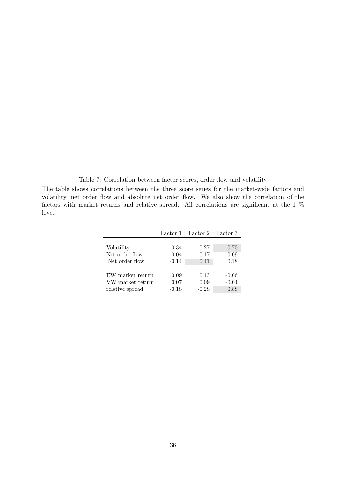Table 7: Correlation between factor scores, order flow and volatility

The table shows correlations between the three score series for the market-wide factors and volatility, net order flow and absolute net order flow. We also show the correlation of the factors with market returns and relative spread. All correlations are significant at the 1 % level.

|                  | Factor 1 | Factor 2 Factor 3 |         |
|------------------|----------|-------------------|---------|
|                  |          |                   |         |
| Volatility       | $-0.34$  | 0.27              | 0.70    |
| Net order flow   | 0.04     | 0.17              | 0.09    |
| Net order flow   | $-0.14$  | 0.41              | 0.18    |
|                  |          |                   |         |
| EW market return | 0.09     | 0.13              | $-0.06$ |
| VW market return | 0.07     | 0.09              | $-0.04$ |
| relative spread  | $-0.18$  | $-0.28$           | 0.88    |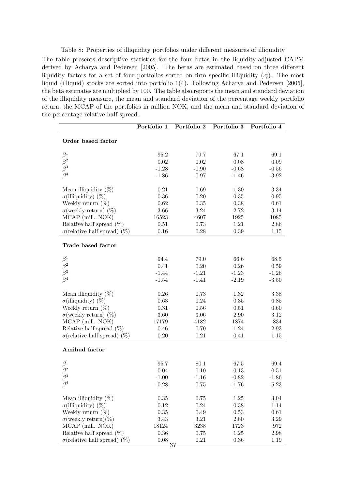Table 8: Properties of illiquidity portfolios under different measures of illiquidity

The table presents descriptive statistics for the four betas in the liquidity-adjusted CAPM derived by Acharya and Pedersen [2005]. The betas are estimated based on three different liquidity factors for a set of four portfolios sorted on firm specific illiquidity  $(c_t^i)$ . The most liquid (illiquid) stocks are sorted into portfolio 1(4). Following Acharya and Pedersen [2005], the beta estimates are multiplied by 100. The table also reports the mean and standard deviation of the illiquidity measure, the mean and standard deviation of the percentage weekly portfolio return, the MCAP of the portfolios in million NOK, and the mean and standard deviation of the percentage relative half-spread.

|                                           | Portfolio 1 | Portfolio 2    | Portfolio 3 | Portfolio 4 |
|-------------------------------------------|-------------|----------------|-------------|-------------|
| Order based factor                        |             |                |             |             |
| $\beta^1$                                 | 95.2        | 79.7           | 67.1        | 69.1        |
| $\beta^2$                                 | $0.02\,$    | $0.02\,$       | 0.08        | 0.09        |
| $\beta^3$                                 | $-1.28$     | $-0.90$        | $-0.68$     | $-0.56$     |
| $\beta^4$                                 | $-1.86$     | $-0.97$        | $-1.46$     | $-3.92$     |
| Mean illiquidity $(\%)$                   | 0.21        | 0.69           | 1.30        | 3.34        |
| $\sigma$ (illiquidity) (%)                | $0.36\,$    | 0.20           | 0.35        | $0.95\,$    |
| Weekly return $(\%)$                      | 0.62        | 0.35           | 0.38        | 0.61        |
| $\sigma$ (weekly return) (%)              | 3.66        | 3.24           | 2.72        | 3.14        |
| MCAP (mill. NOK)                          | 16523       | 4607           | 1925        | 1085        |
| Relative half spread $(\%)$               | 0.51        | 0.73           | $1.21\,$    | 2.86        |
| $\sigma$ (relative half spread) (%)       | 0.16        | 0.28           | 0.39        | 1.15        |
| Trade based factor                        |             |                |             |             |
| $\beta^1$                                 | 94.4        | 79.0           | 66.6        | 68.5        |
| $\beta^2$                                 | 0.41        | $0.20\,$       | 0.26        | 0.59        |
| $\beta^3$                                 | $-1.44$     | $-1.21$        | $-1.23$     | $-1.26$     |
| $\beta^4$                                 | $-1.54$     | $-1.41$        | $-2.19$     | $-3.50$     |
|                                           |             |                |             |             |
| Mean illiquidity $(\%)$                   | 0.26        | 0.73           | 1.32        | 3.38        |
| $\sigma$ (illiquidity) (%)                | 0.63        | 0.24           | 0.35        | 0.85        |
| Weekly return $(\%)$                      | $\rm 0.31$  | 0.56           | 0.51        | 0.60        |
| $\sigma$ (weekly return) (%)              | 3.60        | 3.06           | 2.90        | 3.12        |
| MCAP (mill. NOK)                          | 17179       | 4182           | 1874        | 834         |
| Relative half spread $(\%)$               | 0.46        | 0.70           | 1.24        | $2.93\,$    |
| $\sigma$ (relative half spread) (%)       | 0.20        | 0.21           | 0.41        | 1.15        |
| Amihud factor                             |             |                |             |             |
| $\beta^1$                                 | 95.7        | 80.1           | 67.5        | 69.4        |
| $\beta^2$                                 | 0.04        | 0.10           | 0.13        | 0.51        |
| $\beta^3$                                 | $-1.00$     | $-1.16$        | $-0.82$     | $-1.86$     |
| $\beta^4$                                 | $-0.28$     | $-0.75$        | $-1.76$     | $-5.23$     |
|                                           |             |                |             |             |
| Mean illiquidity $(\%)$                   | $0.35\,$    | $0.75\,$       | 1.25        | 3.04        |
| $\sigma$ (illiquidity) (%)                | $0.12\,$    | $0.24\,$       | 0.38        | 1.14        |
| Weekly return $(\%)$                      | $0.35\,$    | 0.49           | 0.53        | 0.61        |
| $\sigma$ (weekly return)(%)               | 3.43        | $3.21\,$       | 2.80        | $3.29\,$    |
| MCAP (mill. NOK)                          | 18124       | 3238           | 1723        | 972         |
| Relative half spread $(\%)$               | $0.36\,$    | $0.75\,$       | 1.25        | $2.98\,$    |
| $\sigma$ (relative half spread)<br>$(\%)$ | 0.08        | 0.21           | 0.36        | 1.19        |
|                                           |             | $\frac{37}{5}$ |             |             |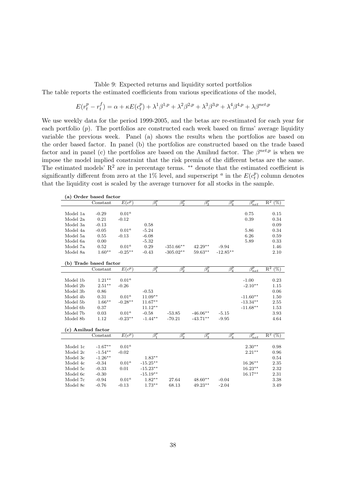#### Table 9: Expected returns and liquidity sorted portfolios

The table reports the estimated coefficients from various specifications of the model,

$$
E(r_t^p - r_t^f) = \alpha + \kappa E(c_t^p) + \lambda^1 \beta^{1,p} + \lambda^2 \beta^{2,p} + \lambda^3 \beta^{3,p} + \lambda^4 \beta^{4,p} + \lambda \beta^{net,p}
$$

We use weekly data for the period 1999-2005, and the betas are re-estimated for each year for each portfolio  $(p)$ . The portfolios are constructed each week based on firms' average liquidity variable the previous week. Panel (a) shows the results when the portfolios are based on the order based factor. In panel (b) the portfolios are constructed based on the trade based factor and in panel (c) the portfolios are based on the Amihud factor. The  $\beta^{net,p}$  is when we impose the model implied constraint that the risk premia of the different betas are the same. The estimated models'  $R^2$  are in percentage terms. \*\* denote that the estimated coefficient is significantly different from zero at the 1% level, and superscript <sup>a</sup> in the  $E(c_t^p)$  $t_t^p$ ) column denotes that the liquidity cost is scaled by the average turnover for all stocks in the sample.

|                   | (a) Order based factor |                   |                        |                        |                        |                        |                 |                                     |
|-------------------|------------------------|-------------------|------------------------|------------------------|------------------------|------------------------|-----------------|-------------------------------------|
|                   | Constant               | $E(c^p)$          | $\overline{\beta_1^p}$ | $\overline{\beta_2^p}$ | $\overline{\beta_3^p}$ | $\overline{\beta_4^p}$ | $\beta_{net}^p$ | $\mathbb{R}^2$<br>$(\%)$            |
|                   |                        |                   |                        |                        |                        |                        |                 |                                     |
| Model 1a          | $-0.29$                | 0.01 <sup>a</sup> |                        |                        |                        |                        | 0.75            | 0.15                                |
| Model 2a          | 0.21                   | $-0.12$           |                        |                        |                        |                        | 0.39            | 0.34                                |
| Model 3a          | $-0.13$                |                   | 0.58                   |                        |                        |                        |                 | 0.09                                |
| Model 4a          | $-0.05$                | 0.01 <sup>a</sup> | $-5.24$                |                        |                        |                        | 5.86            | 0.34                                |
| Model 5a          | 0.55                   | $-0.13$           | $-6.08$                |                        |                        |                        | 6.26            | 0.59                                |
| Model 6a          | 0.00                   |                   | $-5.32$                |                        |                        |                        | 5.89            | 0.33                                |
| Model 7a          | 0.52                   | 0.01 <sup>a</sup> | 0.29                   | $-351.66***$           | $42.29**$              | $-9.94$                |                 | 1.46                                |
| Model 8a          | $1.60**$               | $-0.25***$        | $-0.43$                | $-305.02**$            | $59.63**$              | $-12.85***$            |                 | 2.10                                |
|                   |                        |                   |                        |                        |                        |                        |                 |                                     |
|                   | (b) Trade based factor |                   |                        |                        |                        |                        |                 |                                     |
|                   | Constant               | $E(c^p)$          | $\beta_1^p$            | $\beta^p_2$            | $\beta_3^p$            | $\beta^p_4$            | $\beta_{net}^p$ | $\mathbb{R}^2$<br>$(\%)$            |
|                   |                        |                   |                        |                        |                        |                        |                 |                                     |
| Model 1b          | $1.21***$              | $0.01^{\alpha}$   |                        |                        |                        |                        | $-1.00$         | 0.23                                |
| Model 2b          | $2.51***$              | $-0.26$           |                        |                        |                        |                        | $-2.10**$       | 1.15                                |
| Model 3b          | 0.86                   |                   | $-0.53$                |                        |                        |                        |                 | 0.06                                |
| Model 4b          | 0.31                   | 0.01 <sup>a</sup> | $11.09**$              |                        |                        |                        | $-11.60**$      | 1.50                                |
| Model 5b          | $1.66***$              | $-0.28**$         | $11.67**$              |                        |                        |                        | $-13.34**$      | 2.55                                |
| Model 6b          | 0.37                   |                   | $11.12**$              |                        |                        |                        | $-11.68***$     | 1.53                                |
| Model 7b          | 0.03                   | 0.01 <sup>a</sup> | $-0.58$                | $-53.85$               | $-46.06**$             | $-5.15$                |                 | 3.93                                |
| Model 8b          | 1.12                   | $-0.23**$         | $-1.44**$              | $-70.21$               | $-43.71**$             | $-9.95$                |                 | 4.64                                |
|                   |                        |                   |                        |                        |                        |                        |                 |                                     |
| (c) Amihud factor |                        |                   |                        |                        |                        |                        |                 |                                     |
|                   | Constant               | $E(c^p)$          | $\overline{\beta_1^p}$ | $\overline{\beta^p_2}$ | $\overline{\beta_3^p}$ | $\overline{\beta^p_4}$ | $\beta_{net}^p$ | $\overline{\mathrm{R}^2}$<br>$(\%)$ |
|                   |                        |                   |                        |                        |                        |                        |                 |                                     |
| Model 1c          | $-1.67**$              | 0.01 <sup>a</sup> |                        |                        |                        |                        | $2.30**$        | 0.98                                |
| Model 2c          | $-1.54**$              | $-0.02$           |                        |                        |                        |                        | $2.21***$       | 0.96                                |
| Model 3c          | $-1.26**$              |                   | $1.83**$               |                        |                        |                        |                 | 0.54                                |
| Model 4c          | $-0.34$                | 0.01 <sup>a</sup> | $-15.25**$             |                        |                        |                        | $16.26**$       | 2.35                                |
| Model 5c          | $-0.33$                | 0.01              | $-15.23**$             |                        |                        |                        | $16.23***$      | 2.32                                |
|                   | $-0.30$                |                   | $-15.19**$             |                        |                        |                        | $16.17***$      | 2.31                                |
| Model 6c          |                        |                   |                        |                        |                        |                        |                 |                                     |
| Model 7c          | $-0.94$                | $0.01^{\alpha}$   | $1.82**$<br>$1.73**$   | 27.64<br>68.13         | $48.60**$              | $-0.04$                |                 | 3.38                                |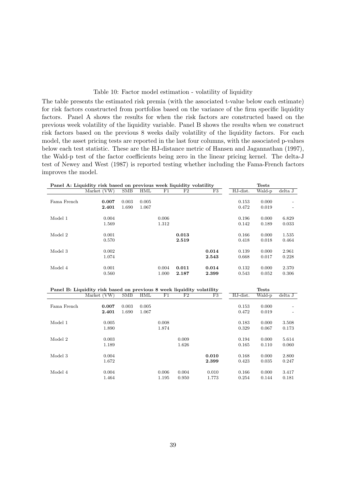#### Table 10: Factor model estimation - volatility of liquidity

The table presents the estimated risk premia (with the associated t-value below each estimate) for risk factors constructed from portfolios based on the variance of the firm specific liquidity factors. Panel A shows the results for when the risk factors are constructed based on the previous week volatility of the liquidity variable. Panel B shows the results when we construct risk factors based on the previous 8 weeks daily volatility of the liquidity factors. For each model, the asset pricing tests are reported in the last four columns, with the associated p-values below each test statistic. These are the HJ-distance metric of Hansen and Jagannathan (1997), the Wald-p test of the factor coefficients being zero in the linear pricing kernel. The delta-J test of Newey and West (1987) is reported testing whether including the Fama-French factors improves the model.

|             | Panel A: Liquidity risk based on previous week liquidity volatility                  |            |            |             |                |       |          | <b>Tests</b>           |         |
|-------------|--------------------------------------------------------------------------------------|------------|------------|-------------|----------------|-------|----------|------------------------|---------|
|             | Market (VW)                                                                          | <b>SMB</b> | <b>HML</b> | F1          | F <sub>2</sub> | F3    | HJ-dist. | Wald-p                 | delta J |
|             |                                                                                      |            |            |             |                |       |          |                        |         |
| Fama French | 0.007                                                                                | 0.003      | 0.005      |             |                |       | 0.153    | 0.000                  |         |
|             | 2.401                                                                                | 1.690      | 1.067      |             |                |       | 0.472    | 0.019                  |         |
|             |                                                                                      |            |            |             |                |       |          |                        |         |
| Model 1     | 0.004                                                                                |            |            | 0.006       |                |       | 0.196    | 0.000                  | 6.829   |
|             | 1.569                                                                                |            |            | 1.312       |                |       | 0.142    | 0.189                  | 0.033   |
|             |                                                                                      |            |            |             |                |       |          |                        |         |
| Model 2     | 0.001                                                                                |            |            |             | 0.013          |       | 0.166    | 0.000                  | 1.535   |
|             | 0.570                                                                                |            |            |             | 2.519          |       | 0.418    | 0.018                  | 0.464   |
|             |                                                                                      |            |            |             |                |       |          |                        |         |
| Model 3     | 0.002                                                                                |            |            |             |                | 0.014 | 0.139    | 0.000                  | 2.961   |
|             | 1.074                                                                                |            |            |             |                | 2.543 | 0.668    | 0.017                  | 0.228   |
|             |                                                                                      |            |            |             |                |       |          |                        |         |
| Model 4     | 0.001                                                                                |            |            | 0.004       | 0.011          | 0.014 | 0.132    | 0.000                  | 2.370   |
|             | 0.560                                                                                |            |            | 1.000       | 2.187          | 2.399 | 0.543    | 0.052                  | 0.306   |
|             |                                                                                      |            |            |             |                |       |          |                        |         |
|             |                                                                                      |            |            |             |                |       |          |                        |         |
|             | Panel B: Liquidity risk based on previous 8 week liquidity volatility<br>Market (VW) | SMB        | HML        | $_{\rm F1}$ | F2             | F3    | HJ-dist. | <b>Tests</b><br>Wald-p | delta J |
|             |                                                                                      |            |            |             |                |       |          |                        |         |
| Fama French | 0.007                                                                                | 0.003      | 0.005      |             |                |       | 0.153    | 0.000                  |         |
|             | 2.401                                                                                | 1.690      | 1.067      |             |                |       | 0.472    | 0.019                  |         |
|             |                                                                                      |            |            |             |                |       |          |                        |         |
| Model 1     | 0.005                                                                                |            |            | 0.008       |                |       | 0.183    | 0.000                  | 3.508   |
|             | 1.890                                                                                |            |            | 1.874       |                |       | 0.329    | 0.067                  | 0.173   |
|             |                                                                                      |            |            |             |                |       |          |                        |         |
| Model 2     | 0.003                                                                                |            |            |             | 0.009          |       | 0.194    | 0.000                  | 5.614   |
|             | 1.189                                                                                |            |            |             | 1.626          |       | 0.165    | 0.110                  | 0.060   |
|             |                                                                                      |            |            |             |                |       |          |                        |         |
| Model 3     | 0.004                                                                                |            |            |             |                | 0.010 | 0.168    | 0.000                  | 2.800   |
|             | 1.672                                                                                |            |            |             |                | 2.399 | 0.423    | 0.035                  | 0.247   |
|             |                                                                                      |            |            |             |                |       |          |                        |         |
| Model 4     | 0.004                                                                                |            |            | 0.006       | 0.004          | 0.010 | 0.166    | 0.000                  | 3.417   |
|             | 1.464                                                                                |            |            | 1.195       | 0.950          | 1.773 | 0.254    | 0.144                  | 0.181   |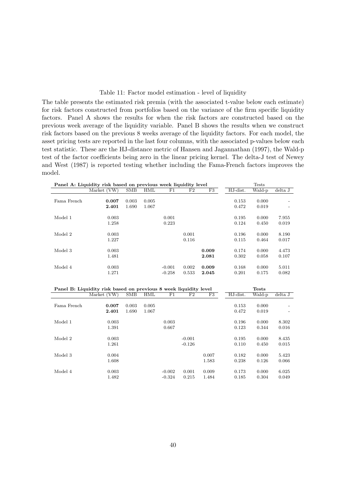#### Table 11: Factor model estimation - level of liquidity

The table presents the estimated risk premia (with the associated t-value below each estimate) for risk factors constructed from portfolios based on the variance of the firm specific liquidity factors. Panel A shows the results for when the risk factors are constructed based on the previous week average of the liquidity variable. Panel B shows the results when we construct risk factors based on the previous 8 weeks average of the liquidity factors. For each model, the asset pricing tests are reported in the last four columns, with the associated p-values below each test statistic. These are the HJ-distance metric of Hansen and Jagannathan (1997), the Wald-p test of the factor coefficients being zero in the linear pricing kernel. The delta-J test of Newey and West (1987) is reported testing whether including the Fama-French factors improves the model.

|             | Panel A: Liquidity risk based on previous week liquidity level                  |       |            |          |                |       |          | <b>Tests</b>           |         |
|-------------|---------------------------------------------------------------------------------|-------|------------|----------|----------------|-------|----------|------------------------|---------|
|             | Market (VW)                                                                     | SMB   | <b>HML</b> | F1       | F <sub>2</sub> | F3    | HJ-dist. | Wald-p                 | delta J |
| Fama French | 0.007                                                                           | 0.003 | 0.005      |          |                |       | 0.153    | 0.000                  |         |
|             | 2.401                                                                           | 1.690 | 1.067      |          |                |       | 0.472    | 0.019                  |         |
|             |                                                                                 |       |            |          |                |       |          |                        |         |
| Model 1     | 0.003                                                                           |       |            | 0.001    |                |       | 0.195    | 0.000                  | 7.955   |
|             | 1.258                                                                           |       |            | 0.223    |                |       | 0.124    | 0.450                  | 0.019   |
| Model 2     | 0.003                                                                           |       |            |          | 0.001          |       | 0.196    | 0.000                  | 8.190   |
|             | 1.227                                                                           |       |            |          | 0.116          |       | 0.115    | 0.464                  | 0.017   |
|             |                                                                                 |       |            |          |                |       |          |                        |         |
| Model 3     | 0.003                                                                           |       |            |          |                | 0.009 | 0.174    | 0.000                  | 4.473   |
|             | 1.481                                                                           |       |            |          |                | 2.081 | 0.302    | 0.058                  | 0.107   |
| Model 4     | 0.003                                                                           |       |            | $-0.001$ | 0.002          | 0.009 | 0.168    | 0.000                  | 5.011   |
|             | 1.271                                                                           |       |            | $-0.258$ | 0.533          | 2.045 | 0.201    | 0.175                  | 0.082   |
|             | Panel B: Liquidity risk based on previous 8 week liquidity level<br>Market (VW) | SMB   | <b>HML</b> | F1       | F2             | F3    | HJ-dist. | <b>Tests</b><br>Wald-p | delta J |
|             |                                                                                 |       |            |          |                |       |          |                        |         |
| Fama French | 0.007                                                                           | 0.003 | 0.005      |          |                |       | 0.153    | 0.000                  |         |
|             | 2.401                                                                           | 1.690 | 1.067      |          |                |       | 0.472    | 0.019                  |         |
| Model 1     | 0.003                                                                           |       |            | 0.003    |                |       | 0.196    | 0.000                  | 8.302   |
|             | 1.391                                                                           |       |            | 0.667    |                |       | 0.123    | 0.344                  | 0.016   |
| Model 2     | 0.003                                                                           |       |            |          | $-0.001$       |       | 0.195    | 0.000                  | 8.435   |
|             | 1.261                                                                           |       |            |          | $-0.126$       |       | 0.110    | 0.450                  | 0.015   |
|             |                                                                                 |       |            |          |                |       |          |                        |         |
| Model 3     | 0.004                                                                           |       |            |          |                | 0.007 | 0.182    | 0.000                  | 5.423   |
|             | 1.608                                                                           |       |            |          |                | 1.583 | 0.238    | 0.126                  | 0.066   |
| Model 4     | 0.003                                                                           |       |            | $-0.002$ | 0.001          | 0.009 | 0.173    | 0.000                  | 6.025   |
|             | 1.482                                                                           |       |            | $-0.324$ | 0.215          | 1.484 | 0.185    | 0.304                  | 0.049   |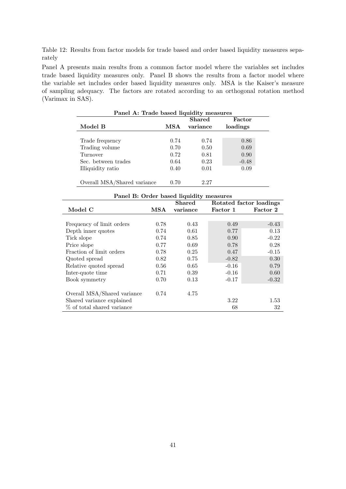Table 12: Results from factor models for trade based and order based liquidity measures separately

Panel A presents main results from a common factor model where the variables set includes trade based liquidity measures only. Panel B shows the results from a factor model where the variable set includes order based liquidity measures only. MSA is the Kaiser's measure of sampling adequacy. The factors are rotated according to an orthogonal rotation method (Varimax in SAS).

| Panel A: Trade based liquidity measures |      |               |          |
|-----------------------------------------|------|---------------|----------|
|                                         |      | <b>Shared</b> | Factor   |
| Model B                                 | MSA  | variance      | loadings |
|                                         |      |               |          |
| Trade frequency                         | 0.74 | 0.74          | 0.86     |
| Trading volume                          | 0.70 | 0.50          | 0.69     |
| Turnover                                | 0.72 | 0.81          | 0.90     |
| Sec. between trades                     | 0.64 | 0.23          | $-0.48$  |
| Illiquidity ratio                       | 0.40 | 0.01          | 0.09     |
|                                         |      |               |          |
| Overall MSA/Shared variance             | 0.70 | 2.27          |          |

| Panel B: Order based liquidity measures |      |               |                         |          |  |  |
|-----------------------------------------|------|---------------|-------------------------|----------|--|--|
|                                         |      | <b>Shared</b> | Rotated factor loadings |          |  |  |
| Model C                                 | MSA  | variance      | Factor 1                | Factor 2 |  |  |
|                                         |      |               |                         |          |  |  |
| Frequency of limit orders               | 0.78 | 0.43          | 0.49                    | $-0.43$  |  |  |
| Depth inner quotes                      | 0.74 | 0.61          | 0.77                    | 0.13     |  |  |
| Tick slope                              | 0.74 | 0.85          | 0.90                    | $-0.22$  |  |  |
| Price slope                             | 0.77 | 0.69          | 0.78                    | 0.28     |  |  |
| Fraction of limit orders                | 0.78 | 0.25          | 0.47                    | $-0.15$  |  |  |
| Quoted spread                           | 0.82 | 0.75          | $-0.82$                 | 0.30     |  |  |
| Relative quoted spread                  | 0.56 | 0.65          | $-0.16$                 | 0.79     |  |  |
| Inter-quote time                        | 0.71 | 0.39          | $-0.16$                 | 0.60     |  |  |
| Book symmetry                           | 0.70 | 0.13          | $-0.17$                 | $-0.32$  |  |  |
|                                         |      |               |                         |          |  |  |
| Overall MSA/Shared variance             | 0.74 | 4.75          |                         |          |  |  |
| Shared variance explained               |      |               | 3.22                    | 1.53     |  |  |
| % of total shared variance              |      |               | 68                      | 32       |  |  |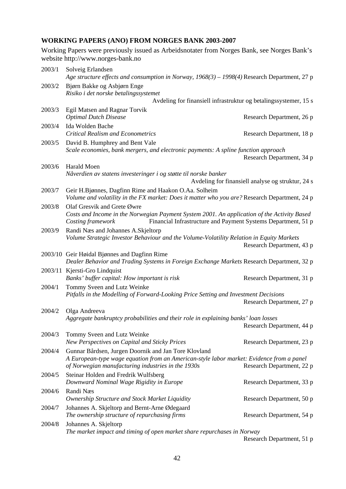# **WORKING PAPERS (ANO) FROM NORGES BANK 2003-2007**

Working Papers were previously issued as Arbeidsnotater from Norges Bank, see Norges Bank's website http://www.norges-bank.no

| 2003/1 | Solveig Erlandsen<br>Age structure effects and consumption in Norway, $1968(3) - 1998(4)$ Research Department, 27 p                                                               |                                                   |  |
|--------|-----------------------------------------------------------------------------------------------------------------------------------------------------------------------------------|---------------------------------------------------|--|
| 2003/2 | Bjørn Bakke og Asbjørn Enge<br>Risiko i det norske betalingssystemet                                                                                                              |                                                   |  |
|        | Avdeling for finansiell infrastruktur og betalingssystemer, 15 s                                                                                                                  |                                                   |  |
| 2003/3 | Egil Matsen and Ragnar Torvik                                                                                                                                                     |                                                   |  |
|        | <b>Optimal Dutch Disease</b>                                                                                                                                                      | Research Department, 26 p                         |  |
| 2003/4 | Ida Wolden Bache                                                                                                                                                                  |                                                   |  |
|        | <b>Critical Realism and Econometrics</b>                                                                                                                                          | Research Department, 18 p                         |  |
| 2003/5 | David B. Humphrey and Bent Vale                                                                                                                                                   |                                                   |  |
|        | Scale economies, bank mergers, and electronic payments: A spline function approach                                                                                                | Research Department, 34 p                         |  |
| 2003/6 | Harald Moen                                                                                                                                                                       |                                                   |  |
|        | Nåverdien av statens investeringer i og støtte til norske banker                                                                                                                  | Avdeling for finansiell analyse og struktur, 24 s |  |
| 2003/7 | Geir H.Bjønnes, Dagfinn Rime and Haakon O.Aa. Solheim                                                                                                                             |                                                   |  |
|        | Volume and volatility in the FX market: Does it matter who you are? Research Department, 24 p                                                                                     |                                                   |  |
| 2003/8 | Olaf Gresvik and Grete Øwre                                                                                                                                                       |                                                   |  |
|        | Costs and Income in the Norwegian Payment System 2001. An application of the Activity Based<br>Financial Infrastructure and Payment Systems Department, 51 p<br>Costing framework |                                                   |  |
| 2003/9 | Randi Næs and Johannes A.Skjeltorp                                                                                                                                                |                                                   |  |
|        | Volume Strategic Investor Behaviour and the Volume-Volatility Relation in Equity Markets                                                                                          | Research Department, 43 p                         |  |
|        | 2003/10 Geir Høidal Bjønnes and Dagfinn Rime<br>Dealer Behavior and Trading Systems in Foreign Exchange Markets Research Department, 32 p                                         |                                                   |  |
|        | 2003/11 Kjersti-Gro Lindquist<br>Banks' buffer capital: How important is risk                                                                                                     | Research Department, 31 p                         |  |
| 2004/1 | Tommy Sveen and Lutz Weinke                                                                                                                                                       |                                                   |  |
|        | Pitfalls in the Modelling of Forward-Looking Price Setting and Investment Decisions                                                                                               | Research Department, 27 p                         |  |
| 2004/2 | Olga Andreeva                                                                                                                                                                     |                                                   |  |
|        | Aggregate bankruptcy probabilities and their role in explaining banks' loan losses                                                                                                |                                                   |  |
|        |                                                                                                                                                                                   | Research Department, 44 p                         |  |
| 2004/3 | Tommy Sveen and Lutz Weinke<br>New Perspectives on Capital and Sticky Prices                                                                                                      | Research Department, 23 p                         |  |
| 2004/4 | Gunnar Bårdsen, Jurgen Doornik and Jan Tore Klovland                                                                                                                              |                                                   |  |
|        | A European-type wage equation from an American-style labor market: Evidence from a panel                                                                                          |                                                   |  |
|        | of Norwegian manufacturing industries in the 1930s                                                                                                                                | Research Department, 22 p                         |  |
| 2004/5 | Steinar Holden and Fredrik Wulfsberg                                                                                                                                              |                                                   |  |
|        | Downward Nominal Wage Rigidity in Europe                                                                                                                                          | Research Department, 33 p                         |  |
| 2004/6 | Randi Næs                                                                                                                                                                         |                                                   |  |
|        | Ownership Structure and Stock Market Liquidity                                                                                                                                    | Research Department, 50 p                         |  |
| 2004/7 | Johannes A. Skjeltorp and Bernt-Arne Ødegaard<br>The ownership structure of repurchasing firms                                                                                    | Research Department, 54 p                         |  |
| 2004/8 | Johannes A. Skjeltorp                                                                                                                                                             |                                                   |  |
|        | The market impact and timing of open market share repurchases in Norway                                                                                                           |                                                   |  |
|        |                                                                                                                                                                                   | Research Department, 51 p                         |  |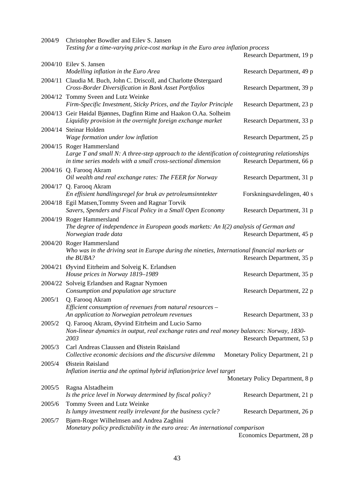| 2004/9  | Christopher Bowdler and Eilev S. Jansen                                                                                                                                                      |                                  |
|---------|----------------------------------------------------------------------------------------------------------------------------------------------------------------------------------------------|----------------------------------|
|         | Testing for a time-varying price-cost markup in the Euro area inflation process                                                                                                              | Research Department, 19 p        |
|         | 2004/10 Eilev S. Jansen                                                                                                                                                                      |                                  |
|         | Modelling inflation in the Euro Area                                                                                                                                                         | Research Department, 49 p        |
|         | 2004/11 Claudia M. Buch, John C. Driscoll, and Charlotte Østergaard<br>Cross-Border Diversification in Bank Asset Portfolios                                                                 | Research Department, 39 p        |
|         | 2004/12 Tommy Sveen and Lutz Weinke                                                                                                                                                          |                                  |
|         | Firm-Specific Investment, Sticky Prices, and the Taylor Principle                                                                                                                            | Research Department, 23 p        |
|         | 2004/13 Geir Høidal Bjønnes, Dagfinn Rime and Haakon O.Aa. Solheim<br>Liquidity provision in the overnight foreign exchange market                                                           | Research Department, 33 p        |
|         | 2004/14 Steinar Holden                                                                                                                                                                       |                                  |
|         | Wage formation under low inflation                                                                                                                                                           | Research Department, 25 p        |
|         | 2004/15 Roger Hammersland<br>Large T and small N: A three-step approach to the identification of cointegrating relationships<br>in time series models with a small cross-sectional dimension | Research Department, 66 p        |
|         | 2004/16 Q. Farooq Akram<br>Oil wealth and real exchange rates: The FEER for Norway                                                                                                           | Research Department, 31 p        |
|         | 2004/17 Q. Farooq Akram<br>En effisient handlingsregel for bruk av petroleumsinntekter                                                                                                       | Forskningsavdelingen, 40 s       |
|         | 2004/18 Egil Matsen, Tommy Sveen and Ragnar Torvik<br>Savers, Spenders and Fiscal Policy in a Small Open Economy                                                                             | Research Department, 31 p        |
|         | 2004/19 Roger Hammersland<br>The degree of independence in European goods markets: An $I(2)$ analysis of German and<br>Norwegian trade data                                                  | Research Department, 45 p        |
|         | 2004/20 Roger Hammersland<br>Who was in the driving seat in Europe during the nineties, International financial markets or<br>the BUBA?                                                      | Research Department, 35 p        |
|         | 2004/21 Øyvind Eitrheim and Solveig K. Erlandsen<br>House prices in Norway 1819-1989                                                                                                         | Research Department, 35 p        |
| 2004/22 | Solveig Erlandsen and Ragnar Nymoen<br>Consumption and population age structure                                                                                                              | Research Department, 22 p        |
| 2005/1  | Q. Farooq Akram                                                                                                                                                                              |                                  |
|         | Efficient consumption of revenues from natural resources -<br>An application to Norwegian petroleum revenues                                                                                 | Research Department, 33 p        |
| 2005/2  | Q. Farooq Akram, Øyvind Eitrheim and Lucio Sarno<br>Non-linear dynamics in output, real exchange rates and real money balances: Norway, 1830-<br>2003                                        | Research Department, 53 p        |
| 2005/3  | Carl Andreas Claussen and Øistein Røisland<br>Collective economic decisions and the discursive dilemma                                                                                       | Monetary Policy Department, 21 p |
| 2005/4  | Øistein Røisland<br>Inflation inertia and the optimal hybrid inflation/price level target                                                                                                    |                                  |
|         |                                                                                                                                                                                              | Monetary Policy Department, 8 p  |
| 2005/5  | Ragna Alstadheim<br>Is the price level in Norway determined by fiscal policy?                                                                                                                | Research Department, 21 p        |
| 2005/6  | Tommy Sveen and Lutz Weinke<br>Is lumpy investment really irrelevant for the business cycle?                                                                                                 | Research Department, 26 p        |
| 2005/7  | Bjørn-Roger Wilhelmsen and Andrea Zaghini<br>Monetary policy predictability in the euro area: An international comparison                                                                    | Economics Doportmont 28 n        |

Economics Department, 28 p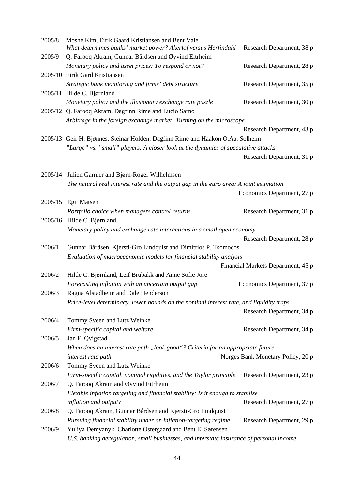| 2005/8 | Moshe Kim, Eirik Gaard Kristiansen and Bent Vale<br>What determines banks' market power? Akerlof versus Herfindahl | Research Department, 38 p          |  |  |
|--------|--------------------------------------------------------------------------------------------------------------------|------------------------------------|--|--|
| 2005/9 | Q. Farooq Akram, Gunnar Bårdsen and Øyvind Eitrheim                                                                |                                    |  |  |
|        | Monetary policy and asset prices: To respond or not?                                                               | Research Department, 28 p          |  |  |
|        | 2005/10 Eirik Gard Kristiansen                                                                                     |                                    |  |  |
|        | Strategic bank monitoring and firms' debt structure                                                                | Research Department, 35 p          |  |  |
|        | 2005/11 Hilde C. Bjørnland                                                                                         |                                    |  |  |
|        | Monetary policy and the illusionary exchange rate puzzle                                                           | Research Department, 30 p          |  |  |
|        | 2005/12 Q. Farooq Akram, Dagfinn Rime and Lucio Sarno                                                              |                                    |  |  |
|        | Arbitrage in the foreign exchange market: Turning on the microscope                                                |                                    |  |  |
|        |                                                                                                                    | Research Department, 43 p          |  |  |
|        | 2005/13 Geir H. Bjønnes, Steinar Holden, Dagfinn Rime and Haakon O.Aa. Solheim                                     |                                    |  |  |
|        | "Large" vs. "small" players: A closer look at the dynamics of speculative attacks                                  |                                    |  |  |
|        |                                                                                                                    | Research Department, 31 p          |  |  |
|        |                                                                                                                    |                                    |  |  |
|        | 2005/14 Julien Garnier and Bjørn-Roger Wilhelmsen                                                                  |                                    |  |  |
|        | The natural real interest rate and the output gap in the euro area: A joint estimation                             |                                    |  |  |
|        |                                                                                                                    | Economics Department, 27 p         |  |  |
|        | 2005/15 Egil Matsen                                                                                                |                                    |  |  |
|        | Portfolio choice when managers control returns                                                                     | Research Department, 31 p          |  |  |
|        | 2005/16 Hilde C. Bjørnland                                                                                         |                                    |  |  |
|        | Monetary policy and exchange rate interactions in a small open economy                                             |                                    |  |  |
|        |                                                                                                                    | Research Department, 28 p          |  |  |
| 2006/1 | Gunnar Bårdsen, Kjersti-Gro Lindquist and Dimitrios P. Tsomocos                                                    |                                    |  |  |
|        | Evaluation of macroeconomic models for financial stability analysis                                                |                                    |  |  |
|        |                                                                                                                    | Financial Markets Department, 45 p |  |  |
| 2006/2 | Hilde C. Bjørnland, Leif Brubakk and Anne Sofie Jore                                                               |                                    |  |  |
|        | Forecasting inflation with an uncertain output gap                                                                 | Economics Department, 37 p         |  |  |
| 2006/3 | Ragna Alstadheim and Dale Henderson                                                                                |                                    |  |  |
|        | Price-level determinacy, lower bounds on the nominal interest rate, and liquidity traps                            |                                    |  |  |
|        |                                                                                                                    | Research Department, 34 p          |  |  |
| 2006/4 | Tommy Sveen and Lutz Weinke                                                                                        |                                    |  |  |
|        | Firm-specific capital and welfare                                                                                  | Research Department, 34 p          |  |  |
| 2006/5 | Jan F. Qvigstad                                                                                                    |                                    |  |  |
|        | When does an interest rate path "look good"? Criteria for an appropriate future                                    |                                    |  |  |
|        | interest rate path                                                                                                 | Norges Bank Monetary Policy, 20 p  |  |  |
| 2006/6 | Tommy Sveen and Lutz Weinke                                                                                        |                                    |  |  |
|        | Firm-specific capital, nominal rigidities, and the Taylor principle                                                | Research Department, 23 p          |  |  |
| 2006/7 | Q. Farooq Akram and Øyvind Eitrheim                                                                                |                                    |  |  |
|        | Flexible inflation targeting and financial stability: Is it enough to stabilise                                    |                                    |  |  |
|        | inflation and output?                                                                                              | Research Department, 27 p          |  |  |
| 2006/8 | Q. Farooq Akram, Gunnar Bårdsen and Kjersti-Gro Lindquist                                                          |                                    |  |  |
|        | Pursuing financial stability under an inflation-targeting regime                                                   | Research Department, 29 p          |  |  |
| 2006/9 | Yuliya Demyanyk, Charlotte Ostergaard and Bent E. Sørensen                                                         |                                    |  |  |
|        | U.S. banking deregulation, small businesses, and interstate insurance of personal income                           |                                    |  |  |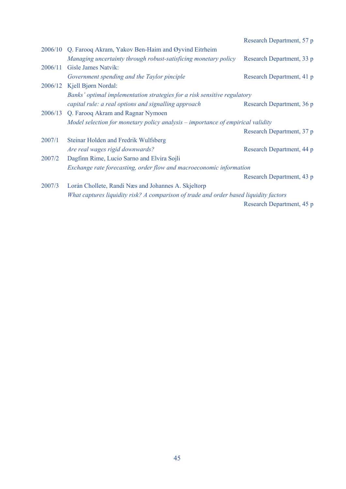|         |                                                                                       | Research Department, 57 p |
|---------|---------------------------------------------------------------------------------------|---------------------------|
| 2006/10 | Q. Farooq Akram, Yakov Ben-Haim and Øyvind Eitrheim                                   |                           |
|         | Managing uncertainty through robust-satisficing monetary policy                       | Research Department, 33 p |
| 2006/11 | Gisle James Natvik:                                                                   |                           |
|         | Government spending and the Taylor pinciple                                           | Research Department, 41 p |
|         | 2006/12 Kjell Bjørn Nordal:                                                           |                           |
|         | Banks' optimal implementation strategies for a risk sensitive regulatory              |                           |
|         | capital rule: a real options and signalling approach                                  | Research Department, 36 p |
|         | 2006/13 Q. Farooq Akram and Ragnar Nymoen                                             |                           |
|         | Model selection for monetary policy analysis – importance of empirical validity       |                           |
|         |                                                                                       | Research Department, 37 p |
| 2007/1  | Steinar Holden and Fredrik Wulfsberg                                                  |                           |
|         | Are real wages rigid downwards?                                                       | Research Department, 44 p |
| 2007/2  | Dagfinn Rime, Lucio Sarno and Elvira Sojli                                            |                           |
|         | Exchange rate forecasting, order flow and macroeconomic information                   |                           |
|         |                                                                                       | Research Department, 43 p |
| 2007/3  | Lorán Chollete, Randi Næs and Johannes A. Skjeltorp                                   |                           |
|         | What captures liquidity risk? A comparison of trade and order based liquidity factors |                           |
|         |                                                                                       | Research Department, 45 p |